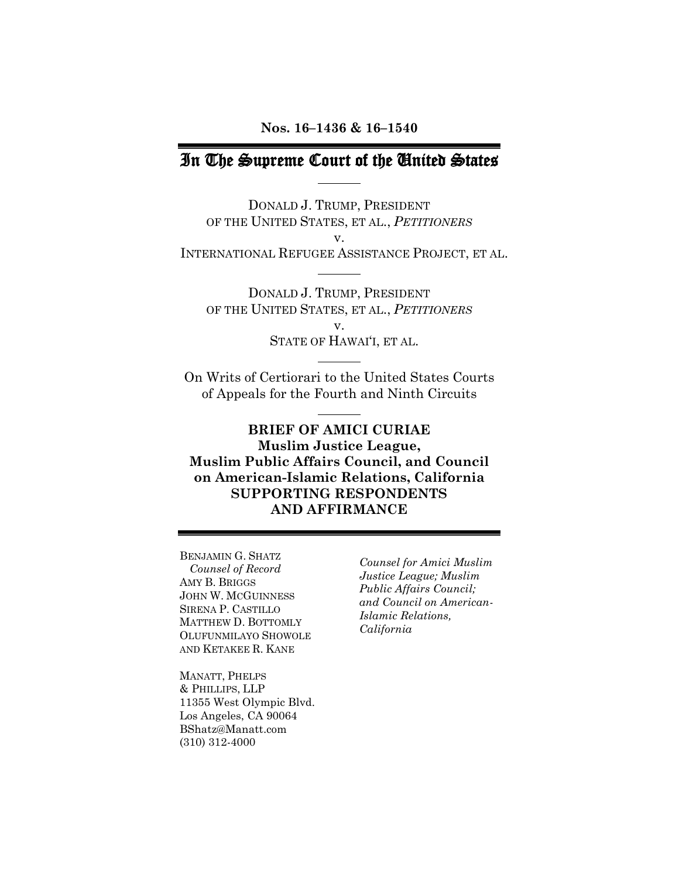## In The Supreme Court of the United States

DONALD J. TRUMP, PRESIDENT OF THE UNITED STATES, ET AL., *PETITIONERS* v. INTERNATIONAL REFUGEE ASSISTANCE PROJECT, ET AL.

DONALD J. TRUMP, PRESIDENT OF THE UNITED STATES, ET AL., *PETITIONERS* v. STATE OF HAWAI'I, ET AL.

On Writs of Certiorari to the United States Courts of Appeals for the Fourth and Ninth Circuits

**BRIEF OF AMICI CURIAE Muslim Justice League, Muslim Public Affairs Council, and Council on American-Islamic Relations, California SUPPORTING RESPONDENTS AND AFFIRMANCE**

BENJAMIN G. SHATZ *Counsel of Record* AMY B. BRIGGS JOHN W. MCGUINNESS SIRENA P. CASTILLO MATTHEW D. BOTTOMLY OLUFUNMILAYO SHOWOLE AND KETAKEE R. KANE

MANATT, PHELPS & PHILLIPS, LLP 11355 West Olympic Blvd. Los Angeles, CA 90064 BShatz@Manatt.com (310) 312-4000

*Counsel for Amici Muslim Justice League; Muslim Public Affairs Council; and Council on American-Islamic Relations, California*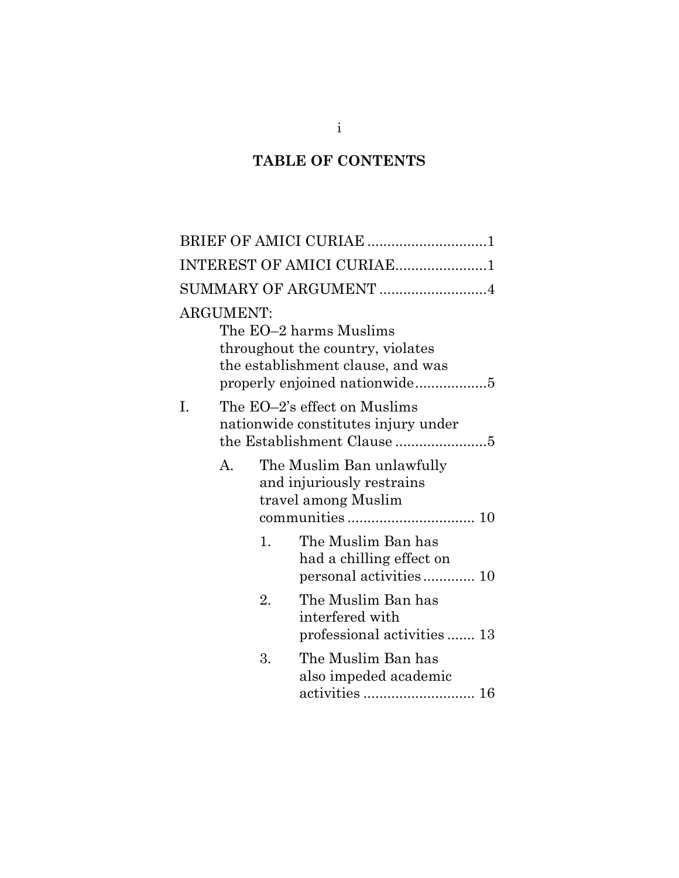# **TABLE OF CONTENTS**

|    |                  |    | BRIEF OF AMICI CURIAE 1                                                                                                          |
|----|------------------|----|----------------------------------------------------------------------------------------------------------------------------------|
|    |                  |    | INTEREST OF AMICI CURIAE1                                                                                                        |
|    |                  |    | SUMMARY OF ARGUMENT 4                                                                                                            |
|    | <b>ARGUMENT:</b> |    | The EO–2 harms Muslims<br>throughout the country, violates<br>the establishment clause, and was<br>properly enjoined nationwide5 |
| Ι. |                  |    | The EO–2's effect on Muslims<br>nationwide constitutes injury under                                                              |
|    | $A_{\cdot}$      |    | The Muslim Ban unlawfully<br>and injuriously restrains<br>travel among Muslim                                                    |
|    |                  | 1. | The Muslim Ban has<br>had a chilling effect on                                                                                   |
|    |                  | 2. | The Muslim Ban has<br>interfered with<br>professional activities  13                                                             |
|    |                  | 3. | The Muslim Ban has<br>also impeded academic                                                                                      |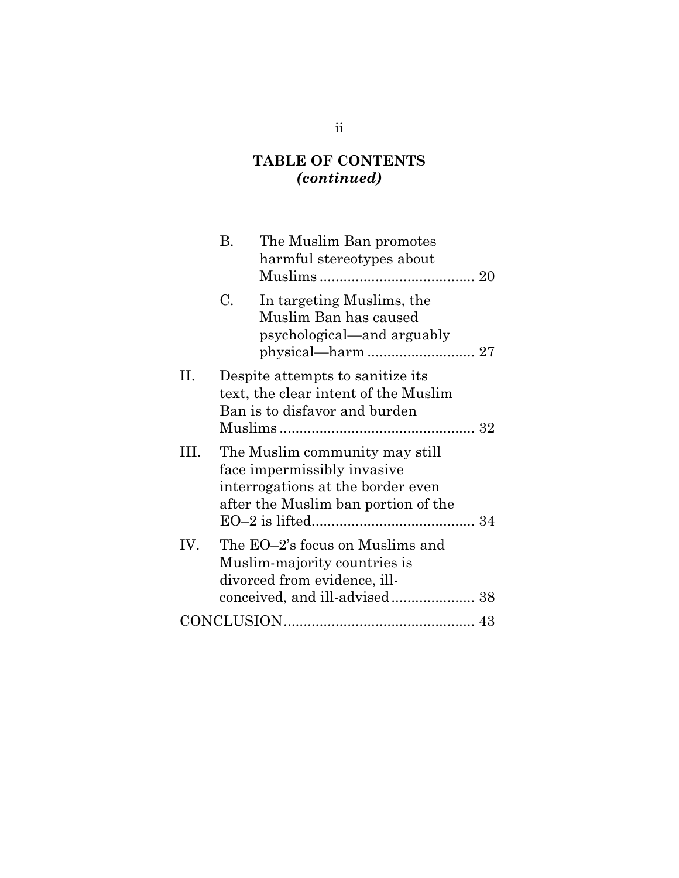## **TABLE OF CONTENTS** *(continued)*

|      | В. | The Muslim Ban promotes<br>harmful stereotypes about                                                                                      |  |
|------|----|-------------------------------------------------------------------------------------------------------------------------------------------|--|
|      | C. | In targeting Muslims, the<br>Muslim Ban has caused<br>psychological—and arguably                                                          |  |
| П.   |    | Despite attempts to sanitize its<br>text, the clear intent of the Muslim<br>Ban is to disfavor and burden                                 |  |
| III. |    | The Muslim community may still<br>face impermissibly invasive<br>interrogations at the border even<br>after the Muslim ban portion of the |  |
| IV.  |    | The EO–2's focus on Muslims and<br>Muslim-majority countries is<br>divorced from evidence, ill-<br>conceived, and ill-advised 38          |  |
|      |    |                                                                                                                                           |  |

## ii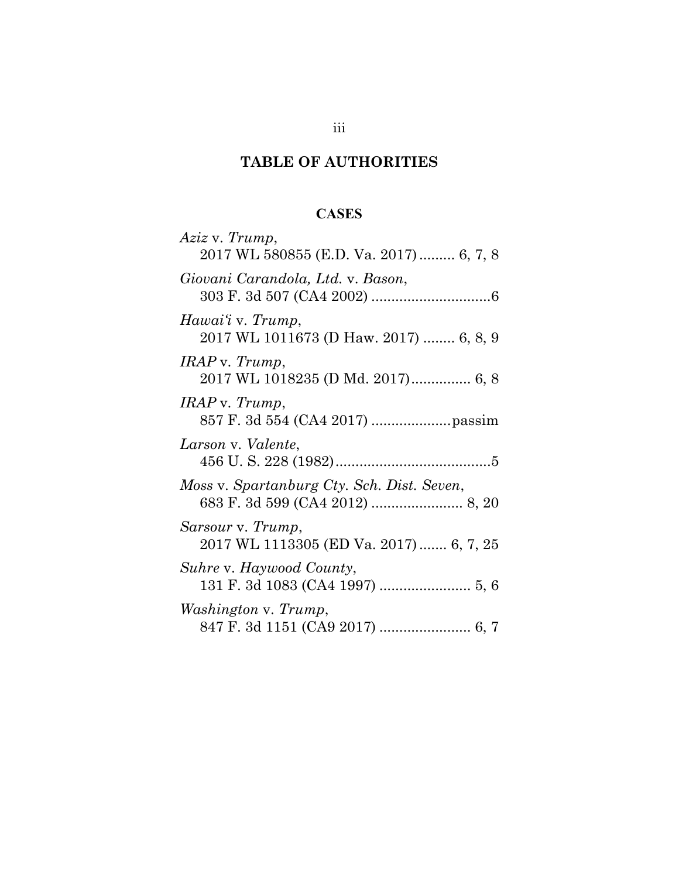# **TABLE OF AUTHORITIES**

### **CASES**

| Aziz v. Trump,<br>2017 WL 580855 (E.D. Va. 2017) 6, 7, 8     |
|--------------------------------------------------------------|
|                                                              |
| Giovani Carandola, Ltd. v. Bason,                            |
| Hawai'i v. Trump,                                            |
| 2017 WL 1011673 (D Haw. 2017)  6, 8, 9                       |
| IRAP v. Trump,                                               |
| 2017 WL 1018235 (D Md. 2017) 6, 8                            |
| IRAP v. Trump,                                               |
|                                                              |
| Larson v. Valente,                                           |
|                                                              |
|                                                              |
|                                                              |
| Moss v. Spartanburg Cty. Sch. Dist. Seven,                   |
|                                                              |
| Sarsour v. Trump,<br>2017 WL 1113305 (ED Va. 2017)  6, 7, 25 |
|                                                              |
| Suhre v. Haywood County,                                     |
| <i>Washington v. Trump,</i>                                  |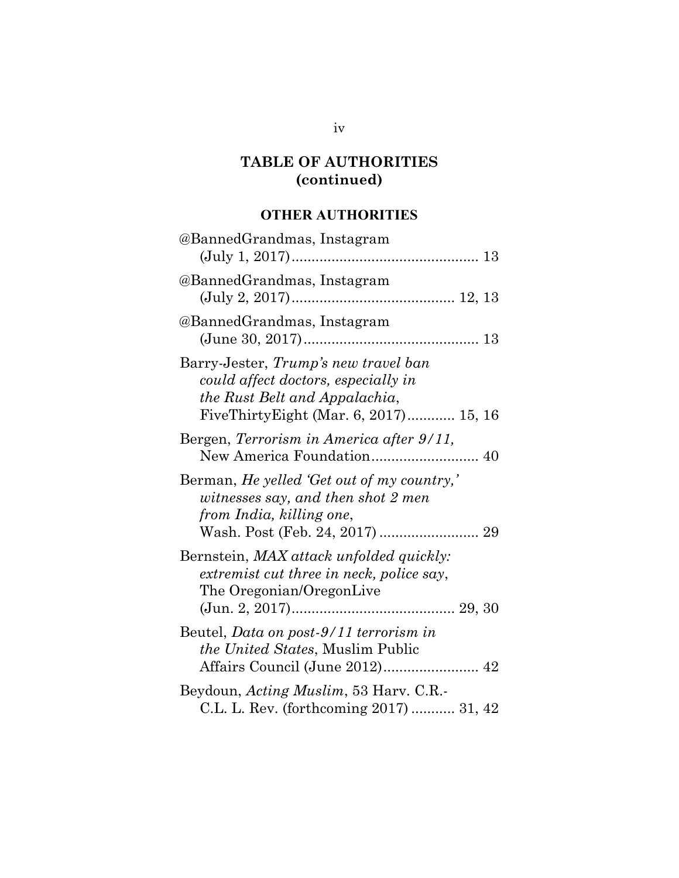## **OTHER AUTHORITIES**

| @BannedGrandmas, Instagram                                                                                                                            |
|-------------------------------------------------------------------------------------------------------------------------------------------------------|
| @BannedGrandmas, Instagram                                                                                                                            |
| @BannedGrandmas, Instagram                                                                                                                            |
| Barry-Jester, Trump's new travel ban<br>could affect doctors, especially in<br>the Rust Belt and Appalachia,<br>FiveThirtyEight (Mar. 6, 2017) 15, 16 |
| Bergen, Terrorism in America after 9/11,                                                                                                              |
| Berman, He yelled 'Get out of my country,'<br>witnesses say, and then shot 2 men<br>from India, killing one,<br>Wash. Post (Feb. 24, 2017)  29        |
| Bernstein, MAX attack unfolded quickly:<br>extremist cut three in neck, police say,<br>The Oregonian/OregonLive                                       |
| Beutel, Data on post-9/11 terrorism in<br><i>the United States, Muslim Public</i><br>Affairs Council (June 2012) 42                                   |
| Beydoun, Acting Muslim, 53 Harv. C.R.-<br>C.L. L. Rev. (forthcoming 2017)  31, 42                                                                     |

iv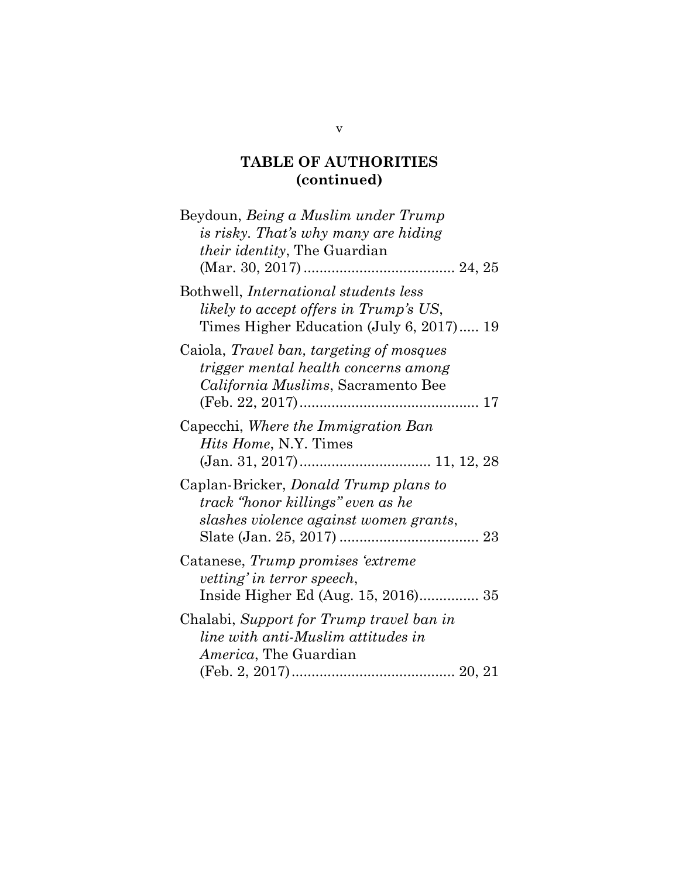| Beydoun, Being a Muslim under Trump<br>is risky. That's why many are hiding<br><i>their identity</i> , The Guardian                   |
|---------------------------------------------------------------------------------------------------------------------------------------|
| Bothwell, <i>International</i> students less<br>likely to accept offers in Trump's US,<br>Times Higher Education (July 6, 2017) 19    |
| Caiola, <i>Travel ban, targeting of mosques</i><br>trigger mental health concerns among<br><i>California Muslims</i> , Sacramento Bee |
| Capecchi, Where the Immigration Ban<br><i>Hits Home, N.Y. Times</i>                                                                   |
| Caplan-Bricker, <i>Donald Trump plans to</i><br>track "honor killings" even as he<br>slashes violence against women grants,           |
| Catanese, Trump promises 'extreme<br>vetting' in terror speech,<br>Inside Higher Ed (Aug. 15, 2016) 35                                |
| Chalabi, Support for Trump travel ban in<br>line with anti-Muslim attitudes in<br><i>America</i> , The Guardian                       |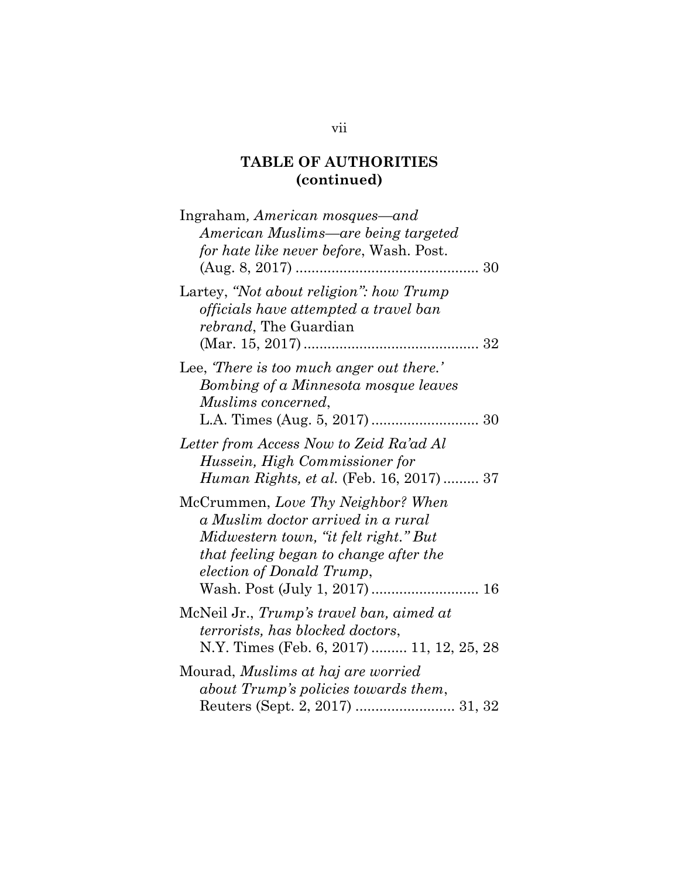| Ingraham, American mosques—and<br>American Muslims—are being targeted<br>for hate like never before, Wash. Post.<br>$(Aug. 8, 2017)$                                                     |
|------------------------------------------------------------------------------------------------------------------------------------------------------------------------------------------|
| Lartey, "Not about religion": how Trump<br>officials have attempted a travel ban<br><i>rebrand</i> , The Guardian                                                                        |
| Lee, There is too much anger out there.'<br>Bombing of a Minnesota mosque leaves<br>Muslims concerned,                                                                                   |
| Letter from Access Now to Zeid Ra'ad Al<br>Hussein, High Commissioner for<br><i>Human Rights, et al.</i> (Feb. 16, 2017)  37                                                             |
| McCrummen, Love Thy Neighbor? When<br>a Muslim doctor arrived in a rural<br>Midwestern town, "it felt right." But<br>that feeling began to change after the<br>election of Donald Trump, |
| McNeil Jr., Trump's travel ban, aimed at<br><i>terrorists, has blocked doctors,</i><br>N.Y. Times (Feb. 6, 2017)  11, 12, 25, 28                                                         |
| Mourad, Muslims at haj are worried<br>about Trump's policies towards them,                                                                                                               |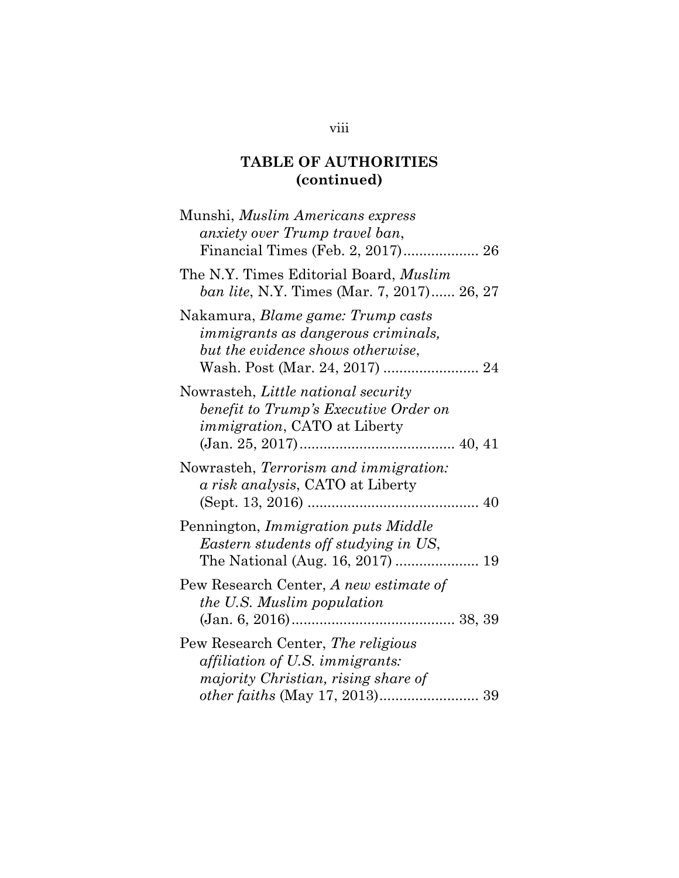| Munshi, <i>Muslim Americans express</i><br>anxiety over Trump travel ban,                                                  |
|----------------------------------------------------------------------------------------------------------------------------|
| The N.Y. Times Editorial Board, <i>Muslim</i><br><i>ban lite</i> , N.Y. Times (Mar. 7, 2017) 26, 27                        |
| Nakamura, <i>Blame game: Trump casts</i><br>immigrants as dangerous criminals,<br>but the evidence shows otherwise,        |
| Nowrasteh, Little national security<br>benefit to Trump's Executive Order on<br><i>immigration</i> , CATO at Liberty       |
| Nowrasteh, Terrorism and immigration:<br>a risk analysis, CATO at Liberty                                                  |
| Pennington, Immigration puts Middle<br>Eastern students off studying in US,                                                |
| Pew Research Center, A new estimate of<br>the U.S. Muslim population                                                       |
| Pew Research Center, The religious<br><i>affiliation of U.S. immigrants:</i><br><i>majority Christian, rising share of</i> |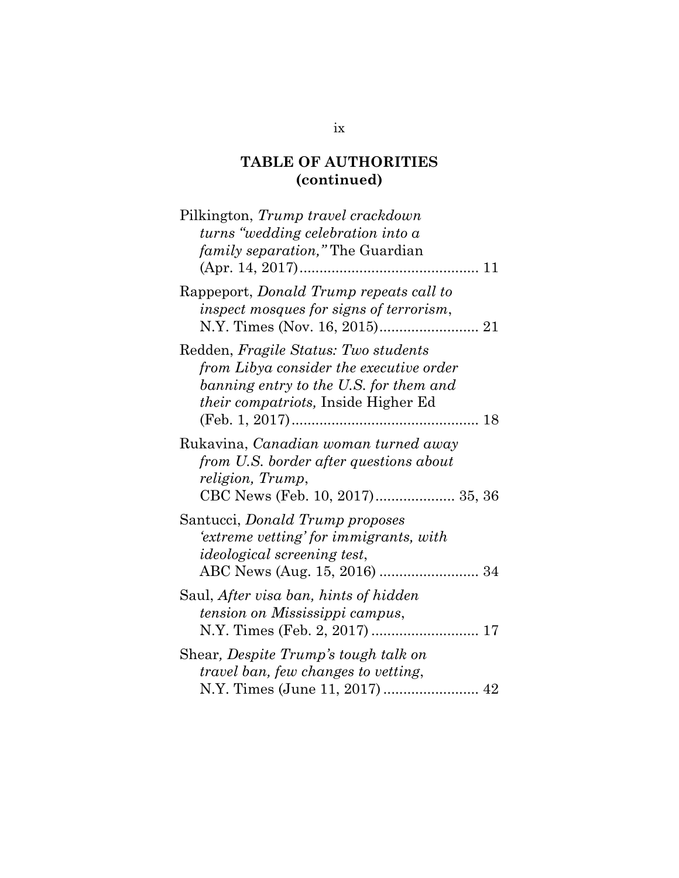| Pilkington, Trump travel crackdown<br>$turns$ "wedding celebration into a<br><i>family separation</i> ," The Guardian                                                    |
|--------------------------------------------------------------------------------------------------------------------------------------------------------------------------|
| Rappeport, Donald Trump repeats call to<br>inspect mosques for signs of terrorism,                                                                                       |
| Redden, Fragile Status: Two students<br>from Libya consider the executive order<br>banning entry to the U.S. for them and<br><i>their compatriots</i> , Inside Higher Ed |
| Rukavina, Canadian woman turned away<br>from U.S. border after questions about<br>religion, Trump,<br>CBC News (Feb. 10, 2017) 35, 36                                    |
| Santucci, <i>Donald Trump proposes</i><br>'extreme vetting' for immigrants, with<br><i>ideological screening test,</i>                                                   |
| Saul, After visa ban, hints of hidden<br>tension on Mississippi campus,                                                                                                  |
| Shear, Despite Trump's tough talk on<br>travel ban, few changes to vetting,                                                                                              |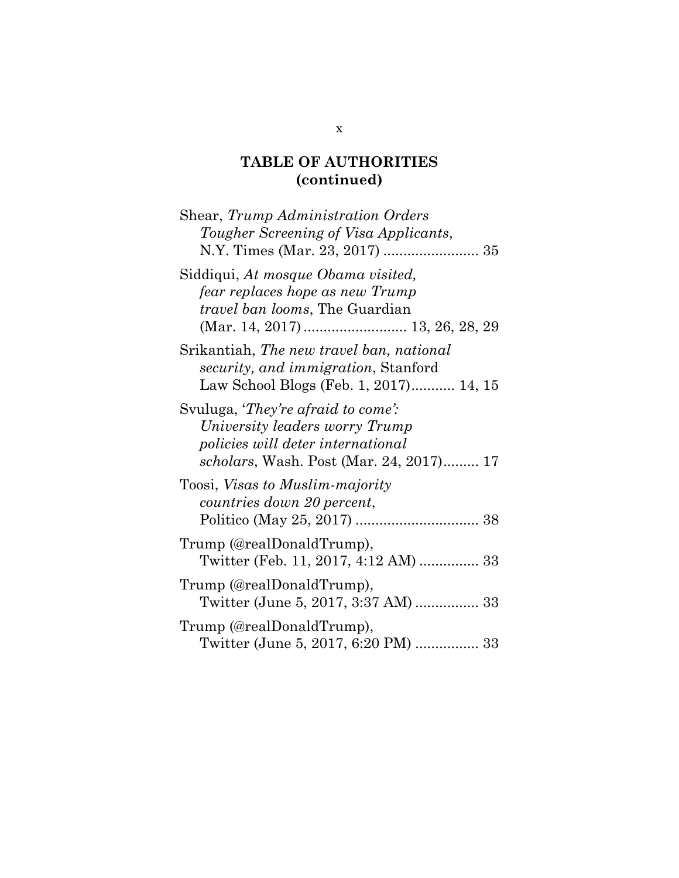| Shear, Trump Administration Orders<br>Tougher Screening of Visa Applicants,                                                                                         |
|---------------------------------------------------------------------------------------------------------------------------------------------------------------------|
| Siddiqui, At mosque Obama visited,<br>fear replaces hope as new Trump<br>travel ban looms, The Guardian                                                             |
| Srikantiah, The new travel ban, national<br><i>security, and immigration, Stanford</i><br>Law School Blogs (Feb. 1, 2017) 14, 15                                    |
| Svuluga, <i>They're afraid to come</i> ':<br>University leaders worry Trump<br>policies will deter international<br><i>scholars</i> , Wash. Post (Mar. 24, 2017) 17 |
| Toosi, <i>Visas to Muslim-majority</i><br>countries down 20 percent,                                                                                                |
| Trump (@realDonaldTrump),<br>Twitter (Feb. 11, 2017, 4:12 AM)  33                                                                                                   |
| Trump (@realDonaldTrump),<br>Twitter (June 5, 2017, 3:37 AM)  33                                                                                                    |
| Trump (@realDonaldTrump),<br>Twitter (June 5, 2017, 6:20 PM)  33                                                                                                    |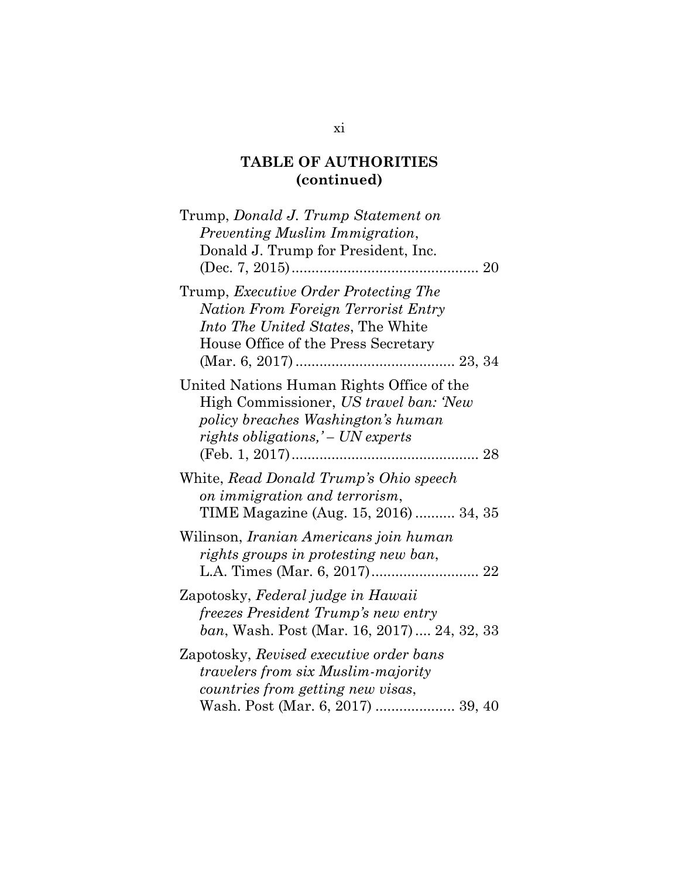| Trump, Donald J. Trump Statement on<br>Preventing Muslim Immigration,<br>Donald J. Trump for President, Inc.                                                            |
|-------------------------------------------------------------------------------------------------------------------------------------------------------------------------|
| Trump, Executive Order Protecting The<br><b>Nation From Foreign Terrorist Entry</b><br><i>Into The United States</i> , The White<br>House Office of the Press Secretary |
| United Nations Human Rights Office of the<br>High Commissioner, US travel ban: 'New<br>policy breaches Washington's human<br>rights obligations,' - UN experts          |
| White, Read Donald Trump's Ohio speech<br>on immigration and terrorism,<br>TIME Magazine (Aug. 15, 2016)  34, 35                                                        |
| Wilinson, Iranian Americans join human<br>rights groups in protesting new ban,                                                                                          |
| Zapotosky, Federal judge in Hawaii<br>freezes President Trump's new entry<br>ban, Wash. Post (Mar. 16, 2017)  24, 32, 33                                                |
| Zapotosky, Revised executive order bans<br><i>travelers from six Muslim-majority</i><br>countries from getting new visas,<br>Wash. Post (Mar. 6, 2017)  39, 40          |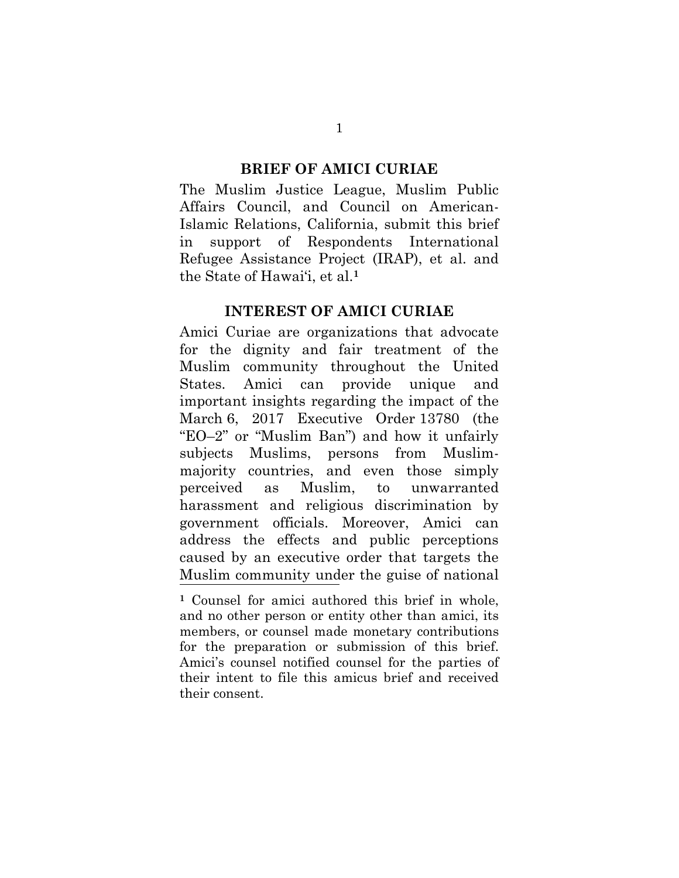#### **BRIEF OF AMICI CURIAE**

The Muslim Justice League, Muslim Public Affairs Council, and Council on American-Islamic Relations, California, submit this brief in support of Respondents International Refugee Assistance Project (IRAP), et al. and the State of Hawai'i, et al. **1**

#### **INTEREST OF AMICI CURIAE**

Amici Curiae are organizations that advocate for the dignity and fair treatment of the Muslim community throughout the United States. Amici can provide unique and important insights regarding the impact of the March 6, 2017 Executive Order 13780 (the "EO–2" or "Muslim Ban") and how it unfairly subjects Muslims, persons from Muslimmajority countries, and even those simply perceived as Muslim, to unwarranted harassment and religious discrimination by government officials. Moreover, Amici can address the effects and public perceptions caused by an executive order that targets the Muslim community under the guise of national

**<sup>1</sup>** Counsel for amici authored this brief in whole, and no other person or entity other than amici, its members, or counsel made monetary contributions for the preparation or submission of this brief. Amici's counsel notified counsel for the parties of their intent to file this amicus brief and received their consent.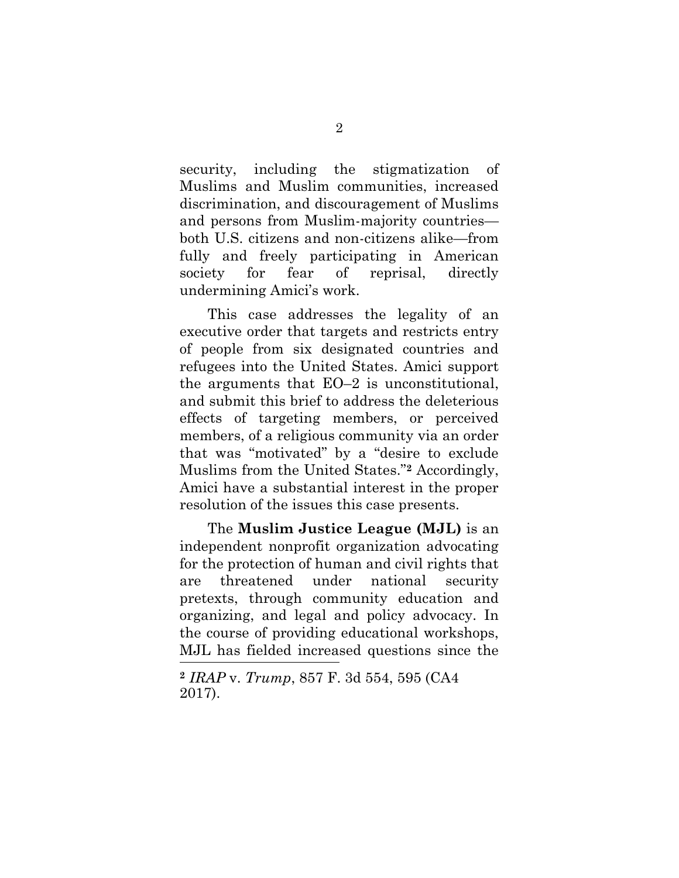security, including the stigmatization of Muslims and Muslim communities, increased discrimination, and discouragement of Muslims and persons from Muslim-majority countries both U.S. citizens and non-citizens alike—from fully and freely participating in American society for fear of reprisal, directly undermining Amici's work.

This case addresses the legality of an executive order that targets and restricts entry of people from six designated countries and refugees into the United States. Amici support the arguments that EO–2 is unconstitutional, and submit this brief to address the deleterious effects of targeting members, or perceived members, of a religious community via an order that was "motivated" by a "desire to exclude Muslims from the United States." **<sup>2</sup>** Accordingly, Amici have a substantial interest in the proper resolution of the issues this case presents.

The **Muslim Justice League (MJL)** is an independent nonprofit organization advocating for the protection of human and civil rights that are threatened under national security pretexts, through community education and organizing, and legal and policy advocacy. In the course of providing educational workshops, MJL has fielded increased questions since the l

<span id="page-13-0"></span>**<sup>2</sup>** *IRAP* v. *Trump*, 857 F. 3d 554, 595 (CA4 2017).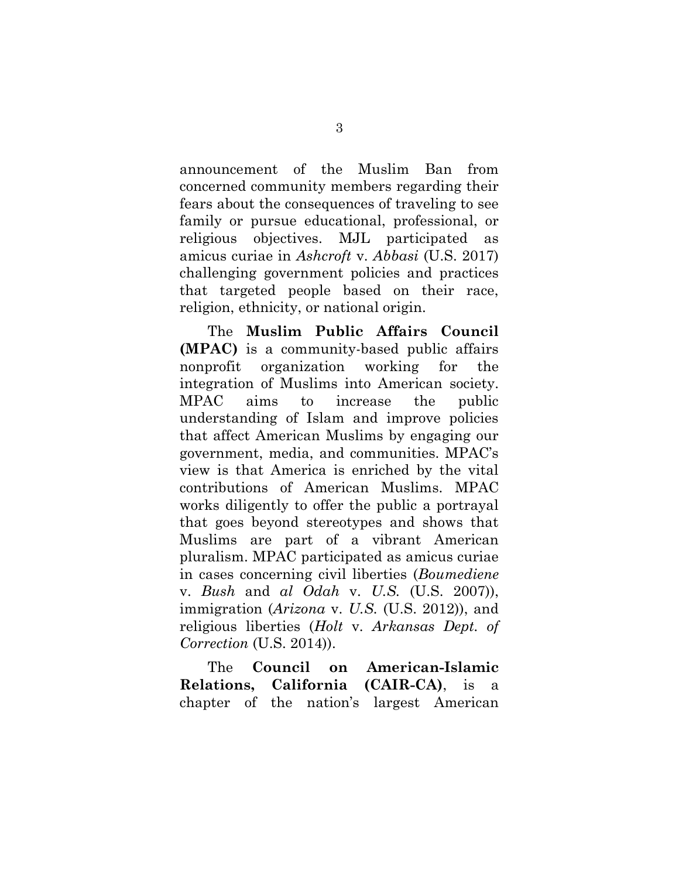announcement of the Muslim Ban from concerned community members regarding their fears about the consequences of traveling to see family or pursue educational, professional, or religious objectives. MJL participated as amicus curiae in *Ashcroft* v. *Abbasi* (U.S. 2017) challenging government policies and practices that targeted people based on their race, religion, ethnicity, or national origin.

The **Muslim Public Affairs Council (MPAC)** is a community-based public affairs nonprofit organization working for the integration of Muslims into American society. MPAC aims to increase the public understanding of Islam and improve policies that affect American Muslims by engaging our government, media, and communities. MPAC's view is that America is enriched by the vital contributions of American Muslims. MPAC works diligently to offer the public a portrayal that goes beyond stereotypes and shows that Muslims are part of a vibrant American pluralism. MPAC participated as amicus curiae in cases concerning civil liberties (*Boumediene*  v. *Bush* and *al Odah* v. *U.S.* (U.S. 2007)), immigration (*Arizona* v. *U.S.* (U.S. 2012)), and religious liberties (*Holt* v. *Arkansas Dept. of Correction* (U.S. 2014)).

The **Council on American-Islamic Relations, California (CAIR-CA)**, is a chapter of the nation's largest American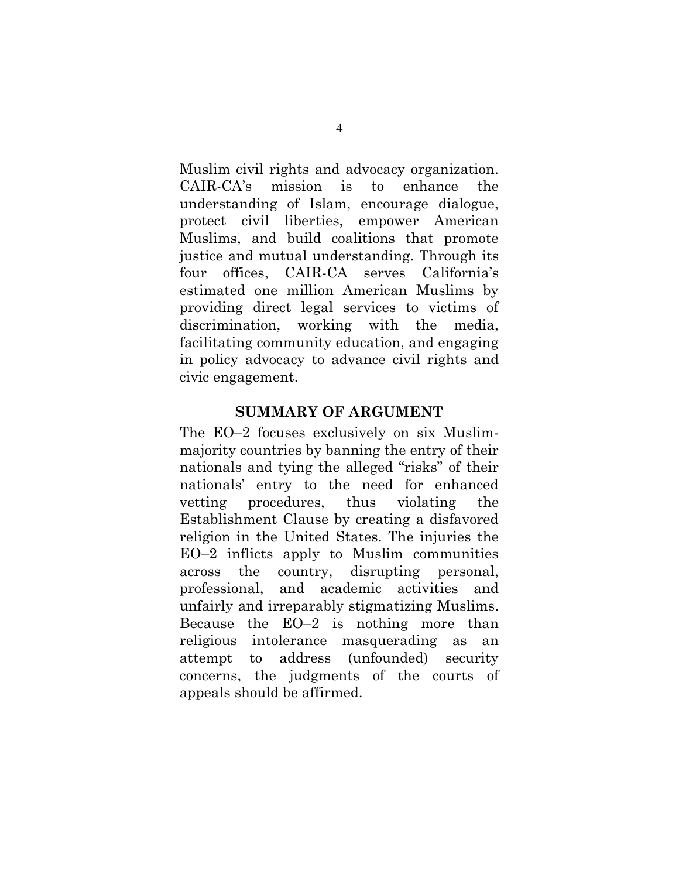Muslim civil rights and advocacy organization. CAIR-CA's mission is to enhance the understanding of Islam, encourage dialogue, protect civil liberties, empower American Muslims, and build coalitions that promote justice and mutual understanding. Through its four offices, CAIR-CA serves California's estimated one million American Muslims by providing direct legal services to victims of discrimination, working with the media, facilitating community education, and engaging in policy advocacy to advance civil rights and civic engagement.

#### **SUMMARY OF ARGUMENT**

The EO–2 focuses exclusively on six Muslimmajority countries by banning the entry of their nationals and tying the alleged "risks" of their nationals' entry to the need for enhanced vetting procedures, thus violating the Establishment Clause by creating a disfavored religion in the United States. The injuries the EO–2 inflicts apply to Muslim communities across the country, disrupting personal, professional, and academic activities and unfairly and irreparably stigmatizing Muslims. Because the EO–2 is nothing more than religious intolerance masquerading as an attempt to address (unfounded) security concerns, the judgments of the courts of appeals should be affirmed.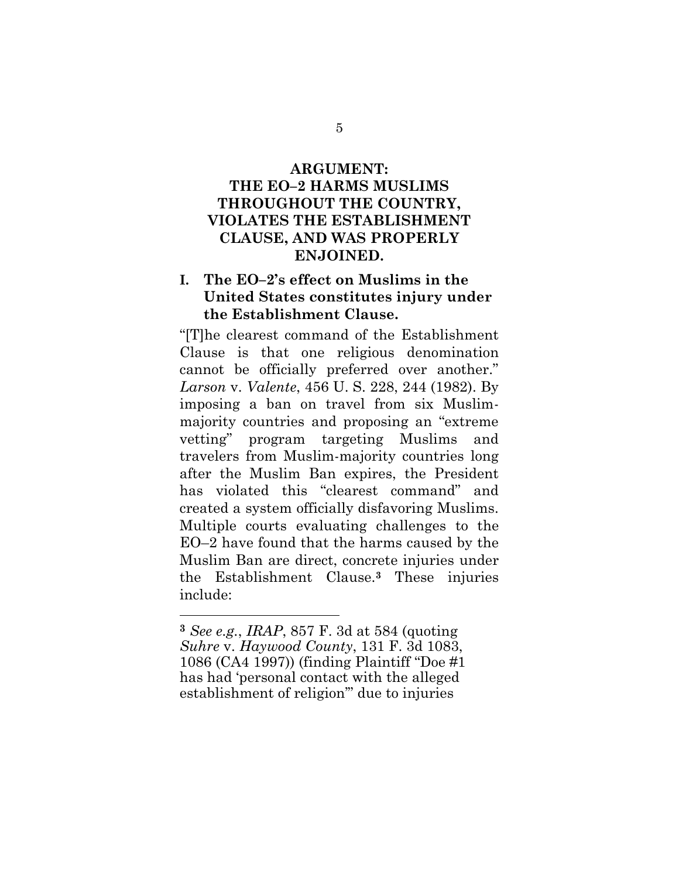## **ARGUMENT: THE EO–2 HARMS MUSLIMS THROUGHOUT THE COUNTRY, VIOLATES THE ESTABLISHMENT CLAUSE, AND WAS PROPERLY ENJOINED.**

## **I. The EO–2's effect on Muslims in the United States constitutes injury under the Establishment Clause.**

<span id="page-16-0"></span>"[T]he clearest command of the Establishment Clause is that one religious denomination cannot be officially preferred over another." *Larson* v. *Valente*, 456 U. S. 228, 244 (1982). By imposing a ban on travel from six Muslimmajority countries and proposing an "extreme vetting" program targeting Muslims and travelers from Muslim-majority countries long after the Muslim Ban expires, the President has violated this "clearest command" and created a system officially disfavoring Muslims. Multiple courts evaluating challenges to the EO–2 have found that the harms caused by the Muslim Ban are direct, concrete injuries under the Establishment Clause.**<sup>3</sup>** These injuries include:

l

5

<span id="page-16-1"></span>**<sup>3</sup>** *See e.g.*, *IRAP*, 857 F. 3d at 584 (quoting *Suhre* v. *Haywood County*, 131 F. 3d 1083, 1086 (CA4 1997)) (finding Plaintiff "Doe #1 has had 'personal contact with the alleged establishment of religion'" due to injuries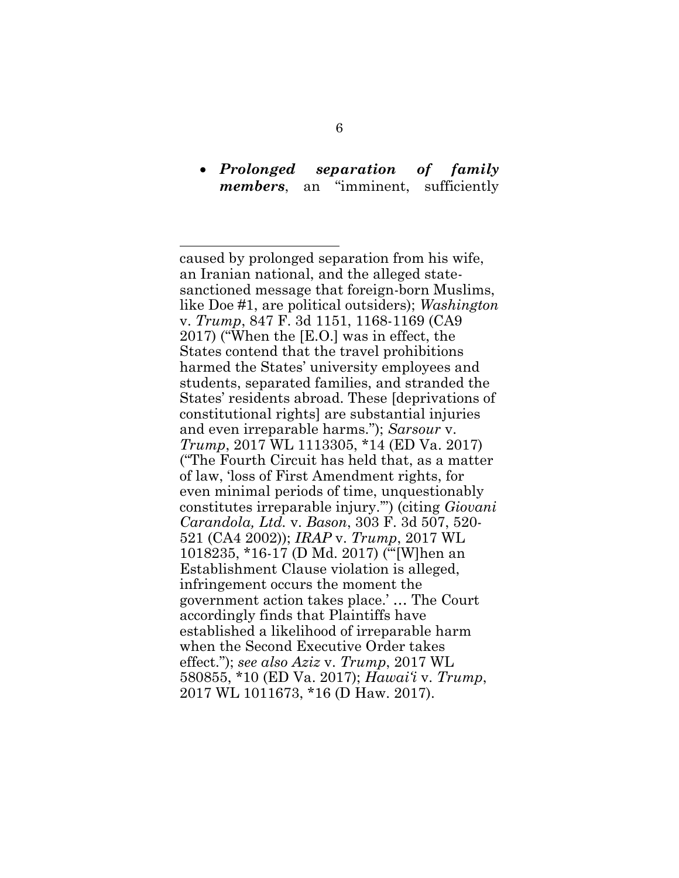### *Prolonged separation of family members*, an "imminent, sufficiently

<span id="page-17-5"></span><span id="page-17-4"></span><span id="page-17-3"></span><span id="page-17-2"></span><span id="page-17-1"></span><span id="page-17-0"></span>caused by prolonged separation from his wife, an Iranian national, and the alleged statesanctioned message that foreign-born Muslims, like Doe #1, are political outsiders); *Washington*  v. *Trump*, 847 F. 3d 1151, 1168-1169 (CA9 2017) ("When the [E.O.] was in effect, the States contend that the travel prohibitions harmed the States' university employees and students, separated families, and stranded the States' residents abroad. These [deprivations of constitutional rights] are substantial injuries and even irreparable harms."); *Sarsour* v. *Trump*, 2017 WL 1113305, \*14 (ED Va. 2017) ("The Fourth Circuit has held that, as a matter of law, 'loss of First Amendment rights, for even minimal periods of time, unquestionably constitutes irreparable injury.'") (citing *Giovani Carandola, Ltd.* v. *Bason*, 303 F. 3d 507, 520- 521 (CA4 2002)); *IRAP* v. *Trump*, 2017 WL 1018235, \*16-17 (D Md. 2017) ("'[W]hen an Establishment Clause violation is alleged, infringement occurs the moment the government action takes place.' … The Court accordingly finds that Plaintiffs have established a likelihood of irreparable harm when the Second Executive Order takes effect."); *see also Aziz* v. *Trump*, 2017 WL 580855, \*10 (ED Va. 2017); *Hawai'i* v. *Trump*, 2017 WL 1011673, \*16 (D Haw. 2017).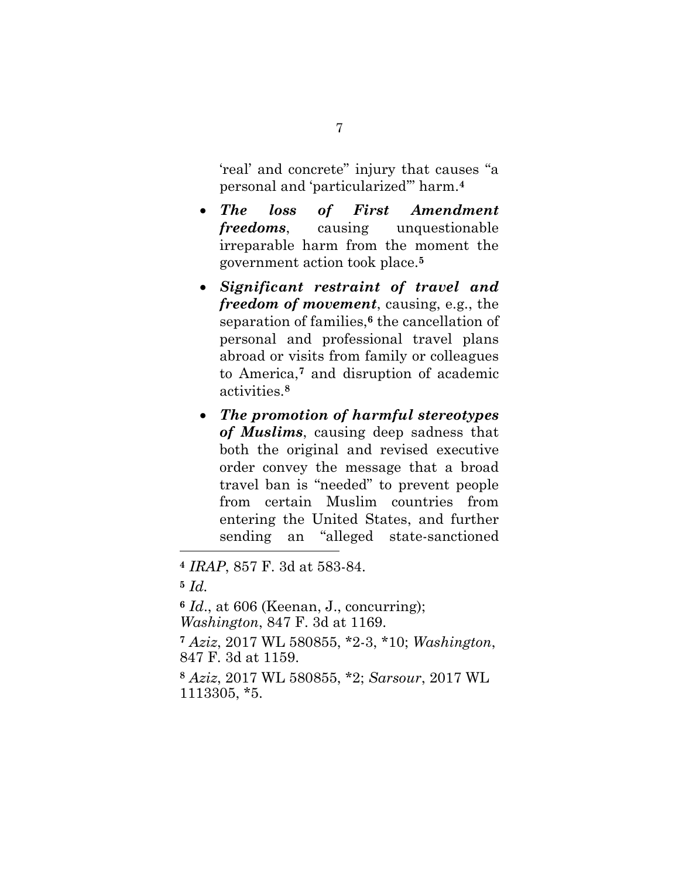'real' and concrete" injury that causes "a personal and 'particularized'" harm.**<sup>4</sup>**

- *The loss of First Amendment freedoms*, causing unquestionable irreparable harm from the moment the government action took place.**<sup>5</sup>**
- *Significant restraint of travel and freedom of movement*, causing, e.g., the separation of families,**<sup>6</sup>** the cancellation of personal and professional travel plans abroad or visits from family or colleagues to America,**<sup>7</sup>** and disruption of academic activities.**<sup>8</sup>**
- *The promotion of harmful stereotypes of Muslims*, causing deep sadness that both the original and revised executive order convey the message that a broad travel ban is "needed" to prevent people from certain Muslim countries from entering the United States, and further sending an "alleged state-sanctioned

l

<span id="page-18-2"></span>**<sup>6</sup>** *Id*., at 606 (Keenan, J., concurring); *Washington*, 847 F. 3d at 1169.

<span id="page-18-0"></span>**<sup>7</sup>** *Aziz*, 2017 WL 580855, \*2-3, \*10; *Washington*, 847 F. 3d at 1159.

<span id="page-18-1"></span>**<sup>8</sup>** *Aziz*, 2017 WL 580855, \*2; *Sarsour*, 2017 WL 1113305, \*5.

**<sup>4</sup>** *IRAP*, 857 F. 3d at 583-84.

**<sup>5</sup>** *Id.*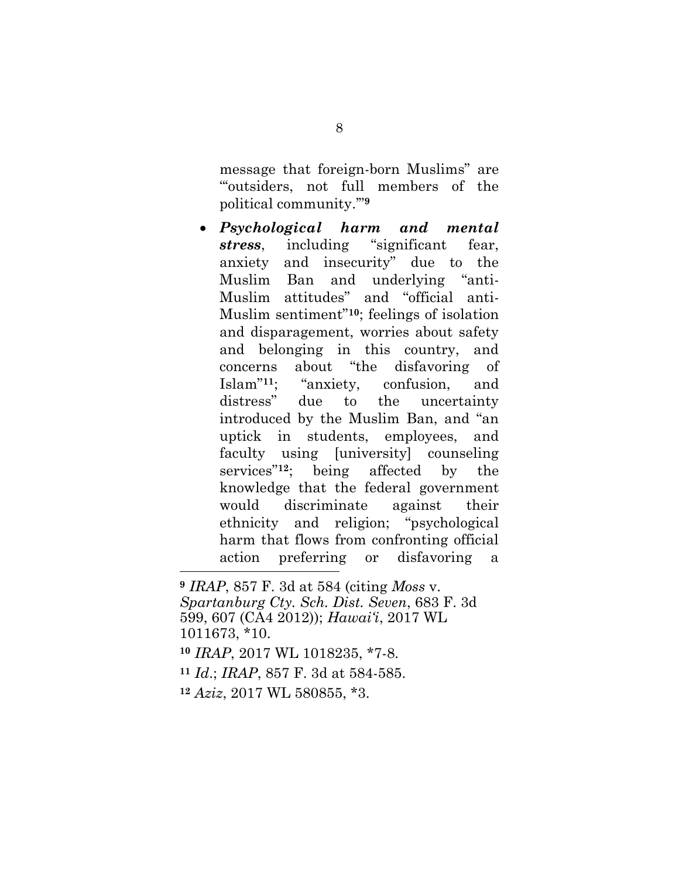message that foreign-born Muslims" are "'outsiders, not full members of the political community.'" **9**

 *Psychological harm and mental stress*, including "significant fear, anxiety and insecurity" due to the Muslim Ban and underlying "anti-Muslim attitudes" and "official anti-Muslim sentiment"**10**; feelings of isolation and disparagement, worries about safety and belonging in this country, and concerns about "the disfavoring of Islam"**11**; "anxiety, confusion, and distress" due to the uncertainty introduced by the Muslim Ban, and "an uptick in students, employees, and faculty using [university] counseling services"**12**; being affected by the knowledge that the federal government would discriminate against their ethnicity and religion; "psychological harm that flows from confronting official action preferring or disfavoring a

<span id="page-19-3"></span><span id="page-19-2"></span><span id="page-19-1"></span><span id="page-19-0"></span>**<sup>9</sup>** *IRAP*, 857 F. 3d at 584 (citing *Moss* v. *Spartanburg Cty. Sch. Dist. Seven*, 683 F. 3d 599, 607 (CA4 2012)); *Hawai'i*, 2017 WL 1011673, \*10. **<sup>10</sup>** *IRAP*, 2017 WL 1018235, \*7-8. **<sup>11</sup>** *Id*.; *IRAP*, 857 F. 3d at 584-585. **<sup>12</sup>** *Aziz*, 2017 WL 580855, \*3.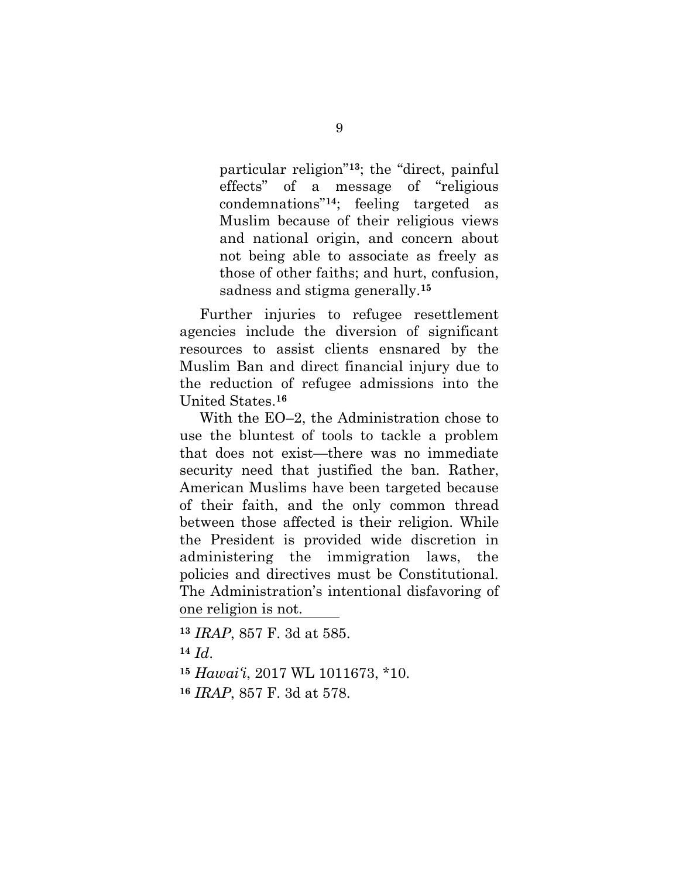particular religion" **<sup>13</sup>**; the "direct, painful effects" of a message of "religious condemnations"**14**; feeling targeted as Muslim because of their religious views and national origin, and concern about not being able to associate as freely as those of other faiths; and hurt, confusion, sadness and stigma generally.**<sup>15</sup>**

Further injuries to refugee resettlement agencies include the diversion of significant resources to assist clients ensnared by the Muslim Ban and direct financial injury due to the reduction of refugee admissions into the United States.**<sup>16</sup>**

With the EO–2, the Administration chose to use the bluntest of tools to tackle a problem that does not exist—there was no immediate security need that justified the ban. Rather, American Muslims have been targeted because of their faith, and the only common thread between those affected is their religion. While the President is provided wide discretion in administering the immigration laws, the policies and directives must be Constitutional. The Administration's intentional disfavoring of one religion is not.

<span id="page-20-0"></span> *IRAP*, 857 F. 3d at 585. **<sup>14</sup>** *Id*. *Hawai'i*, 2017 WL 1011673, \*10. *IRAP*, 857 F. 3d at 578.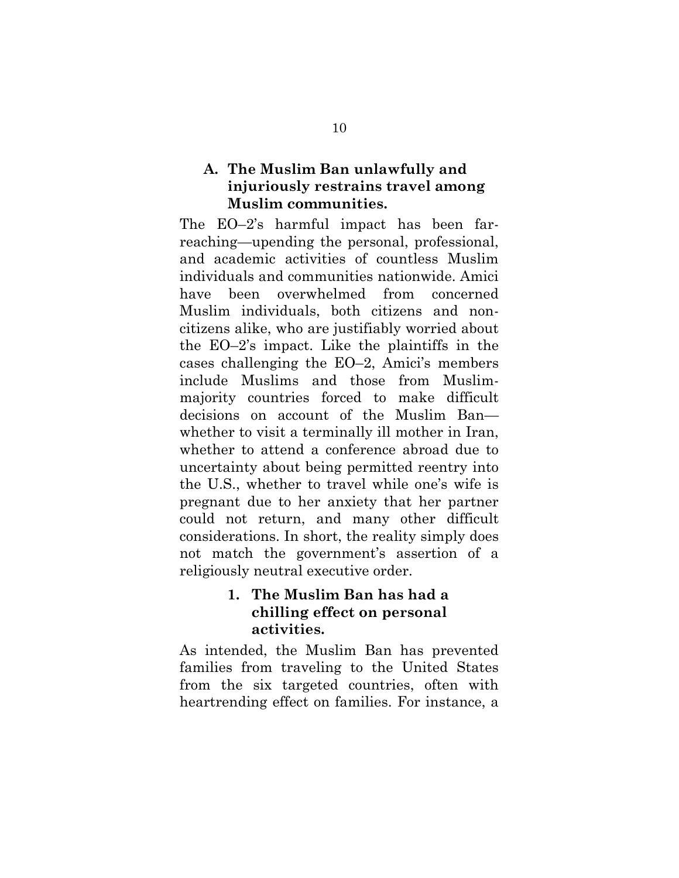## **A. The Muslim Ban unlawfully and injuriously restrains travel among Muslim communities.**

The EO–2's harmful impact has been farreaching—upending the personal, professional, and academic activities of countless Muslim individuals and communities nationwide. Amici have been overwhelmed from concerned Muslim individuals, both citizens and noncitizens alike, who are justifiably worried about the EO–2's impact. Like the plaintiffs in the cases challenging the EO–2, Amici's members include Muslims and those from Muslimmajority countries forced to make difficult decisions on account of the Muslim Ban whether to visit a terminally ill mother in Iran, whether to attend a conference abroad due to uncertainty about being permitted reentry into the U.S., whether to travel while one's wife is pregnant due to her anxiety that her partner could not return, and many other difficult considerations. In short, the reality simply does not match the government's assertion of a religiously neutral executive order.

## **1. The Muslim Ban has had a chilling effect on personal activities.**

As intended, the Muslim Ban has prevented families from traveling to the United States from the six targeted countries, often with heartrending effect on families. For instance, a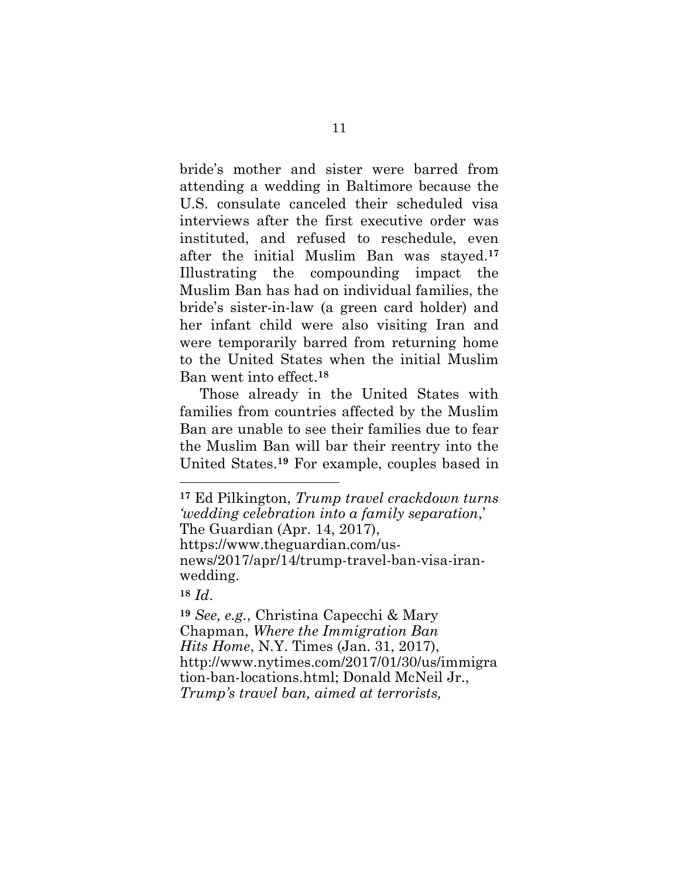bride's mother and sister were barred from attending a wedding in Baltimore because the U.S. consulate canceled their scheduled visa interviews after the first executive order was instituted, and refused to reschedule, even after the initial Muslim Ban was stayed.**<sup>17</sup>** Illustrating the compounding impact the Muslim Ban has had on individual families, the bride's sister-in-law (a green card holder) and her infant child were also visiting Iran and were temporarily barred from returning home to the United States when the initial Muslim Ban went into effect.**<sup>18</sup>**

Those already in the United States with families from countries affected by the Muslim Ban are unable to see their families due to fear the Muslim Ban will bar their reentry into the United States.**<sup>19</sup>** For example, couples based in

**<sup>18</sup>** *Id*.

<span id="page-22-2"></span>**<sup>17</sup>** Ed Pilkington, *Trump travel crackdown turns 'wedding celebration into a family separation*,' The Guardian (Apr. 14, 2017), https://www.theguardian.com/usnews/2017/apr/14/trump-travel-ban-visa-iranwedding.

<span id="page-22-1"></span><span id="page-22-0"></span>**<sup>19</sup>** *See, e.g.*, Christina Capecchi & Mary Chapman, *Where the Immigration Ban Hits Home*, N.Y. Times (Jan. 31, 2017), http://www.nytimes.com/2017/01/30/us/immigra tion-ban-locations.html; Donald McNeil Jr., *Trump's travel ban, aimed at terrorists,*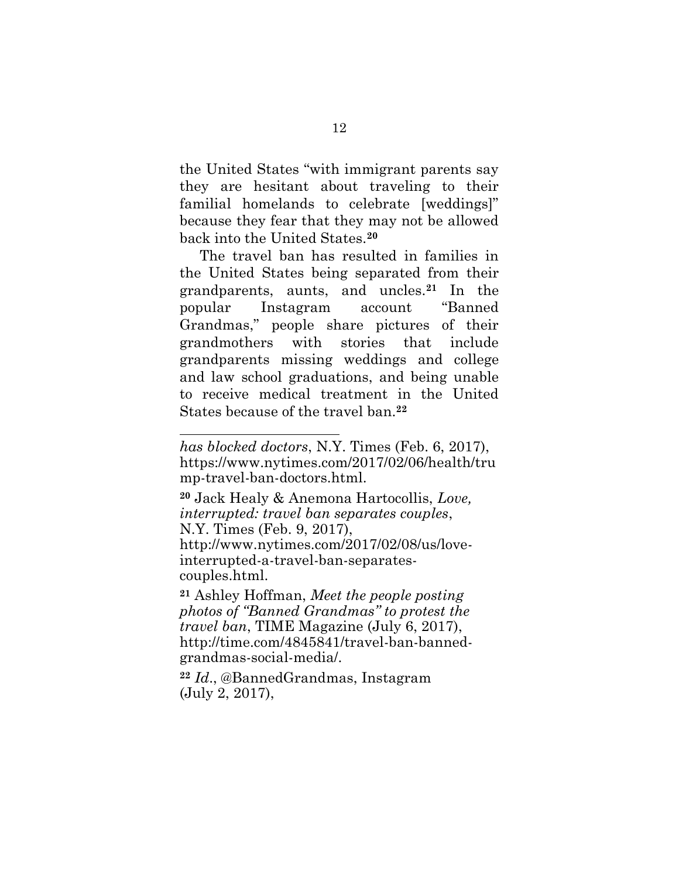the United States "with immigrant parents say they are hesitant about traveling to their familial homelands to celebrate [weddings]" because they fear that they may not be allowed back into the United States.**<sup>20</sup>**

The travel ban has resulted in families in the United States being separated from their grandparents, aunts, and uncles.**<sup>21</sup>** In the popular Instagram account "Banned Grandmas," people share pictures of their grandmothers with stories that include grandparents missing weddings and college and law school graduations, and being unable to receive medical treatment in the United States because of the travel ban.**<sup>22</sup>**

<span id="page-23-1"></span>**<sup>20</sup>** Jack Healy & Anemona Hartocollis, *Love, interrupted: travel ban separates couples*, N.Y. Times (Feb. 9, 2017),

l

http://www.nytimes.com/2017/02/08/us/loveinterrupted-a-travel-ban-separatescouples.html.

<span id="page-23-2"></span>**<sup>21</sup>** Ashley Hoffman, *Meet the people posting photos of "Banned Grandmas" to protest the travel ban*, TIME Magazine (July 6, 2017), http://time.com/4845841/travel-ban-bannedgrandmas-social-media/.

<span id="page-23-0"></span>**<sup>22</sup>** *Id*., @BannedGrandmas, Instagram (July 2, 2017),

*has blocked doctors*, N.Y. Times (Feb. 6, 2017), https://www.nytimes.com/2017/02/06/health/tru mp-travel-ban-doctors.html.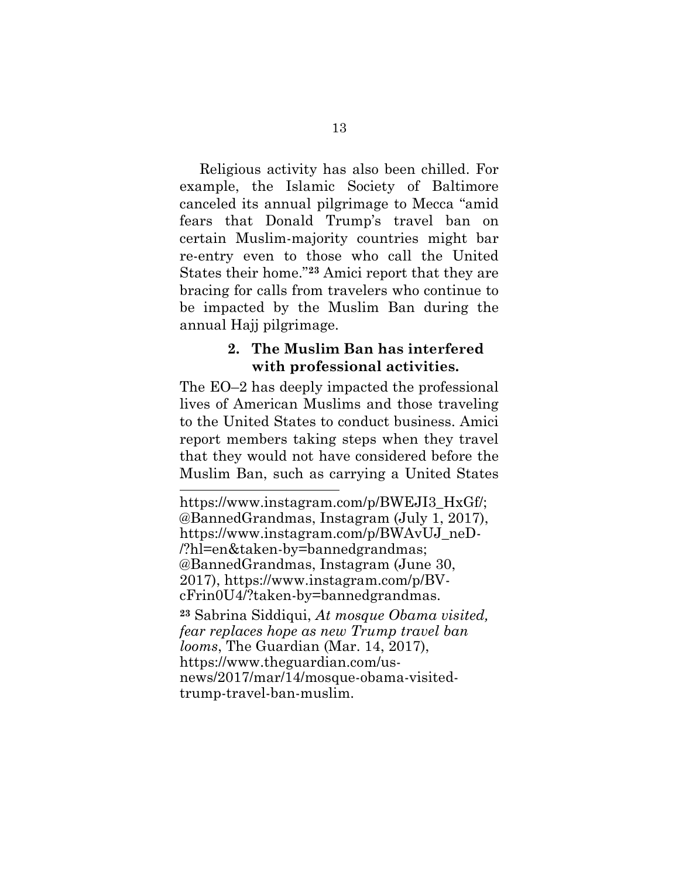Religious activity has also been chilled. For example, the Islamic Society of Baltimore canceled its annual pilgrimage to Mecca "amid fears that Donald Trump's travel ban on certain Muslim-majority countries might bar re-entry even to those who call the United States their home."**<sup>23</sup>** Amici report that they are bracing for calls from travelers who continue to be impacted by the Muslim Ban during the annual Hajj pilgrimage.

#### **2. The Muslim Ban has interfered with professional activities.**

The EO–2 has deeply impacted the professional lives of American Muslims and those traveling to the United States to conduct business. Amici report members taking steps when they travel that they would not have considered before the Muslim Ban, such as carrying a United States

<span id="page-24-0"></span>l https://www.instagram.com/p/BWEJI3\_HxGf/; @BannedGrandmas, Instagram (July 1, 2017), https://www.instagram.com/p/BWAvUJ\_neD- /?hl=en&taken-by=bannedgrandmas; @BannedGrandmas, Instagram (June 30, 2017), https://www.instagram.com/p/BVcFrin0U4/?taken-by=bannedgrandmas.

<span id="page-24-2"></span><span id="page-24-1"></span>**<sup>23</sup>** Sabrina Siddiqui, *At mosque Obama visited, fear replaces hope as new Trump travel ban looms*, The Guardian (Mar. 14, 2017), https://www.theguardian.com/usnews/2017/mar/14/mosque-obama-visitedtrump-travel-ban-muslim.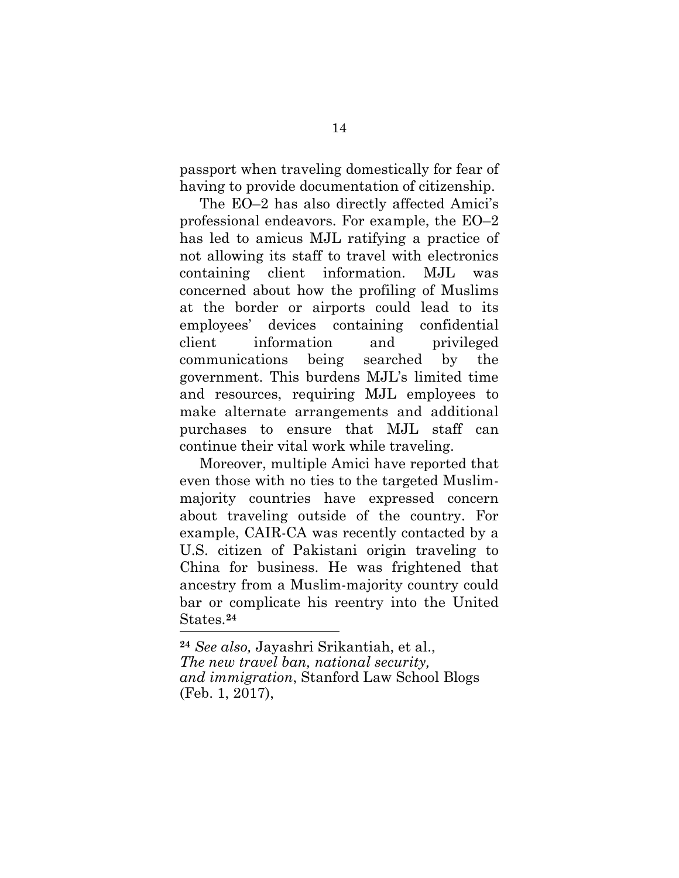passport when traveling domestically for fear of having to provide documentation of citizenship.

The EO–2 has also directly affected Amici's professional endeavors. For example, the EO–2 has led to amicus MJL ratifying a practice of not allowing its staff to travel with electronics containing client information. MJL was concerned about how the profiling of Muslims at the border or airports could lead to its employees' devices containing confidential client information and privileged communications being searched by the government. This burdens MJL's limited time and resources, requiring MJL employees to make alternate arrangements and additional purchases to ensure that MJL staff can continue their vital work while traveling.

Moreover, multiple Amici have reported that even those with no ties to the targeted Muslimmajority countries have expressed concern about traveling outside of the country. For example, CAIR-CA was recently contacted by a U.S. citizen of Pakistani origin traveling to China for business. He was frightened that ancestry from a Muslim-majority country could bar or complicate his reentry into the United States.**<sup>24</sup>** ĺ

<span id="page-25-0"></span>**<sup>24</sup>** *See also,* Jayashri Srikantiah, et al., *The new travel ban, national security, and immigration*, Stanford Law School Blogs (Feb. 1, 2017),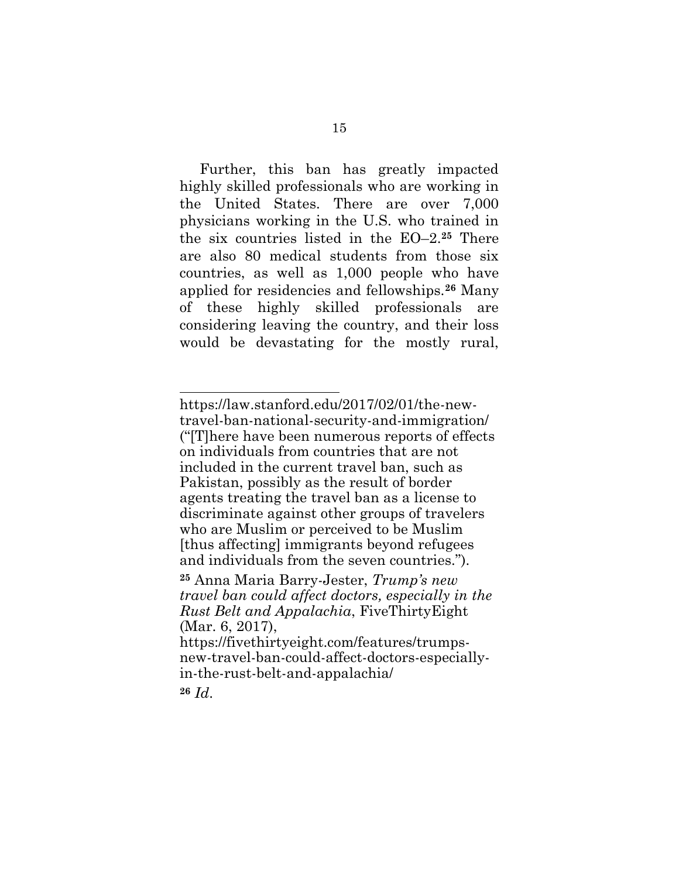Further, this ban has greatly impacted highly skilled professionals who are working in the United States. There are over 7,000 physicians working in the U.S. who trained in the six countries listed in the EO–2. **<sup>25</sup>** There are also 80 medical students from those six countries, as well as 1,000 people who have applied for residencies and fellowships.**<sup>26</sup>** Many of these highly skilled professionals are considering leaving the country, and their loss would be devastating for the mostly rural,

https://law.stanford.edu/2017/02/01/the-newtravel-ban-national-security-and-immigration/ ("[T]here have been numerous reports of effects on individuals from countries that are not included in the current travel ban, such as Pakistan, possibly as the result of border agents treating the travel ban as a license to discriminate against other groups of travelers who are Muslim or perceived to be Muslim [thus affecting] immigrants beyond refugees and individuals from the seven countries.").

<span id="page-26-0"></span>**<sup>25</sup>** Anna Maria Barry-Jester, *Trump's new travel ban could affect doctors, especially in the Rust Belt and Appalachia*, FiveThirtyEight (Mar. 6, 2017),

https://fivethirtyeight.com/features/trumpsnew-travel-ban-could-affect-doctors-especiallyin-the-rust-belt-and-appalachia/

**<sup>26</sup>** *Id*.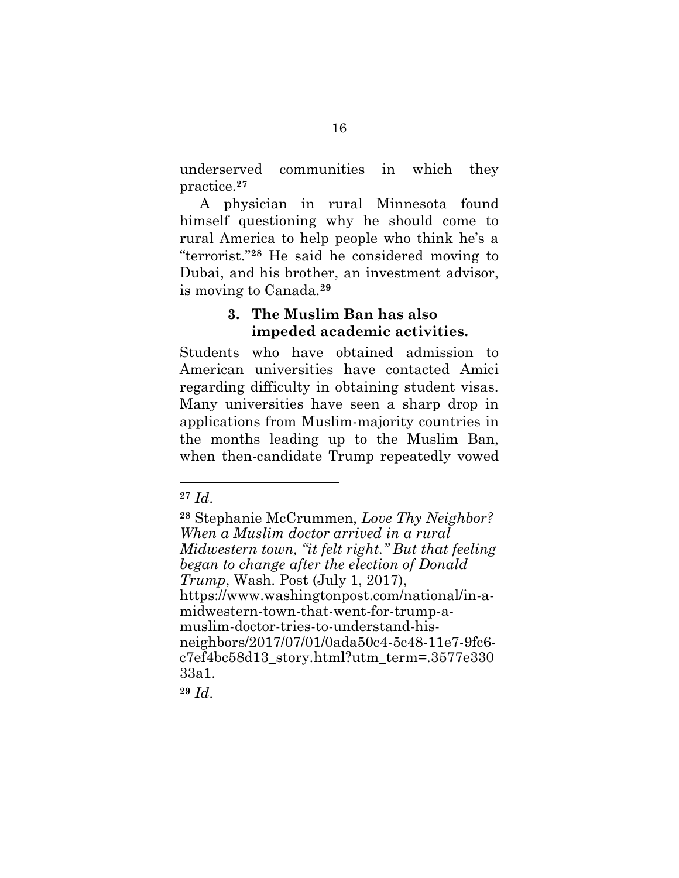underserved communities in which they practice.**<sup>27</sup>**

A physician in rural Minnesota found himself questioning why he should come to rural America to help people who think he's a "terrorist."**<sup>28</sup>** He said he considered moving to Dubai, and his brother, an investment advisor, is moving to Canada.**<sup>29</sup>**

## **3. The Muslim Ban has also impeded academic activities.**

Students who have obtained admission to American universities have contacted Amici regarding difficulty in obtaining student visas. Many universities have seen a sharp drop in applications from Muslim-majority countries in the months leading up to the Muslim Ban, when then-candidate Trump repeatedly vowed

<span id="page-27-0"></span>l

**<sup>29</sup>** *Id*.

**<sup>27</sup>** *Id*.

<span id="page-27-1"></span>**<sup>28</sup>** Stephanie McCrummen, *Love Thy Neighbor? When a Muslim doctor arrived in a rural Midwestern town, "it felt right." But that feeling began to change after the election of Donald Trump*, Wash. Post (July 1, 2017), https://www.washingtonpost.com/national/in-amidwestern-town-that-went-for-trump-amuslim-doctor-tries-to-understand-hisneighbors/2017/07/01/0ada50c4-5c48-11e7-9fc6 c7ef4bc58d13\_story.html?utm\_term=.3577e330 33a1.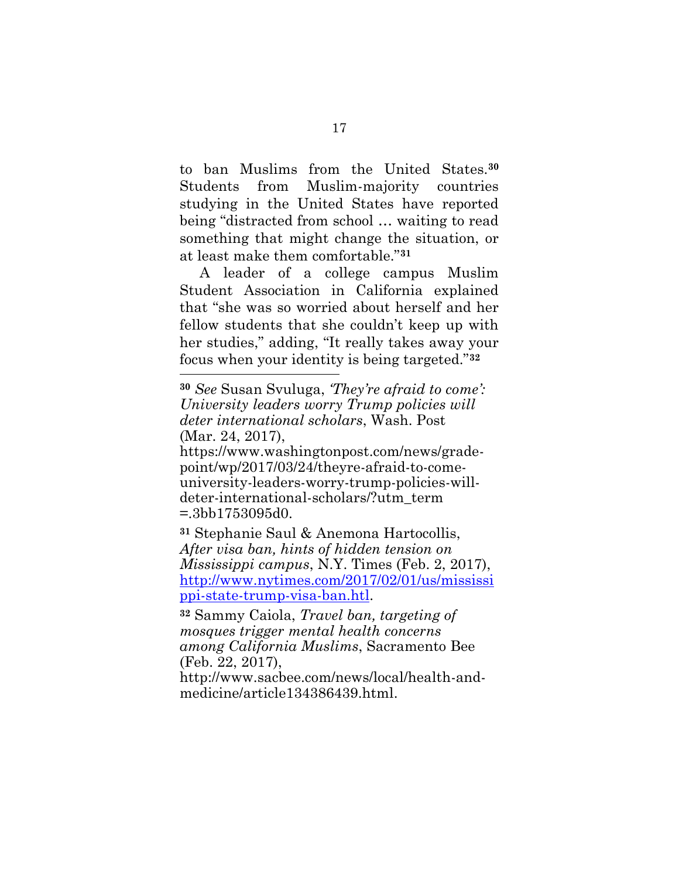to ban Muslims from the United States.**<sup>30</sup>** Students from Muslim-majority countries studying in the United States have reported being "distracted from school … waiting to read something that might change the situation, or at least make them comfortable."**<sup>31</sup>**

A leader of a college campus Muslim Student Association in California explained that "she was so worried about herself and her fellow students that she couldn't keep up with her studies," adding, "It really takes away your focus when your identity is being targeted."**<sup>32</sup>** l

https://www.washingtonpost.com/news/gradepoint/wp/2017/03/24/theyre-afraid-to-comeuniversity-leaders-worry-trump-policies-willdeter-international-scholars/?utm\_term =.3bb1753095d0.

<span id="page-28-1"></span>**<sup>31</sup>** Stephanie Saul & Anemona Hartocollis, *After visa ban, hints of hidden tension on Mississippi campus*, N.Y. Times (Feb. 2, 2017), [http://www.nytimes.com/2017/02/01/us/mississi](http://www.nytimes.com/2017/02/01/us/mississippi-state-trump-visa-ban.htl) [ppi-state-trump-visa-ban.htl.](http://www.nytimes.com/2017/02/01/us/mississippi-state-trump-visa-ban.htl)

<span id="page-28-0"></span>**<sup>32</sup>** Sammy Caiola, *Travel ban, targeting of mosques trigger mental health concerns among California Muslims*, Sacramento Bee (Feb. 22, 2017),

http://www.sacbee.com/news/local/health-andmedicine/article134386439.html.

<span id="page-28-2"></span>**<sup>30</sup>** *See* Susan Svuluga, *'They're afraid to come': University leaders worry Trump policies will deter international scholars*, Wash. Post (Mar. 24, 2017),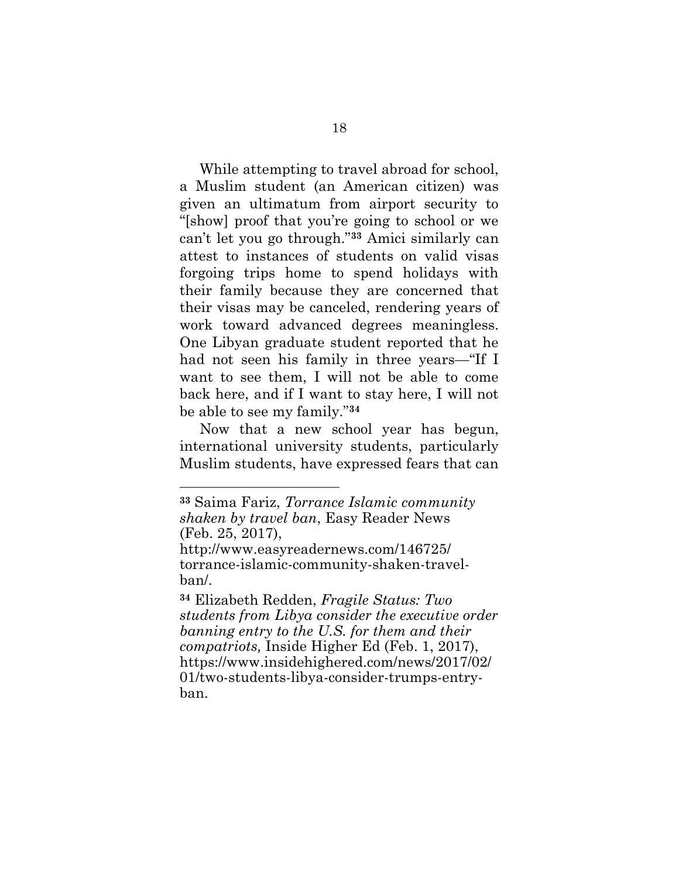While attempting to travel abroad for school, a Muslim student (an American citizen) was given an ultimatum from airport security to "[show] proof that you're going to school or we can't let you go through."**<sup>33</sup>** Amici similarly can attest to instances of students on valid visas forgoing trips home to spend holidays with their family because they are concerned that their visas may be canceled, rendering years of work toward advanced degrees meaningless. One Libyan graduate student reported that he had not seen his family in three years—"If I want to see them, I will not be able to come back here, and if I want to stay here, I will not be able to see my family."**<sup>34</sup>**

Now that a new school year has begun, international university students, particularly Muslim students, have expressed fears that can

<span id="page-29-0"></span>**<sup>33</sup>** Saima Fariz, *Torrance Islamic community shaken by travel ban*, Easy Reader News (Feb. 25, 2017),

http://www.easyreadernews.com/146725/ torrance-islamic-community-shaken-travelban/.

<span id="page-29-1"></span>**<sup>34</sup>** Elizabeth Redden, *Fragile Status: Two students from Libya consider the executive order banning entry to the U.S. for them and their compatriots,* Inside Higher Ed (Feb. 1, 2017), https://www.insidehighered.com/news/2017/02/ 01/two-students-libya-consider-trumps-entryban.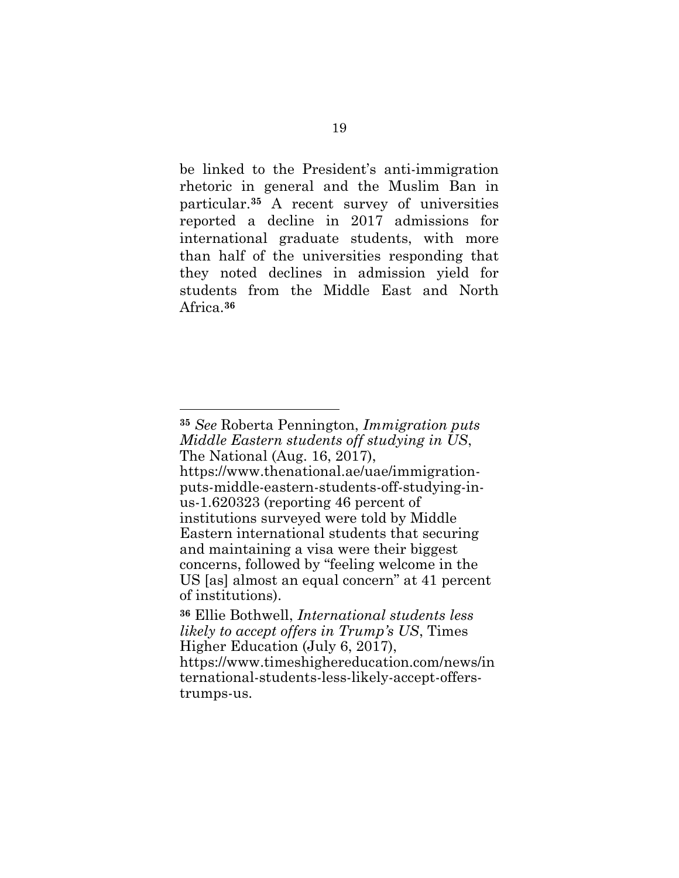be linked to the President's anti-immigration rhetoric in general and the Muslim Ban in particular.**<sup>35</sup>** A recent survey of universities reported a decline in 2017 admissions for international graduate students, with more than half of the universities responding that they noted declines in admission yield for students from the Middle East and North Africa.**<sup>36</sup>**

<span id="page-30-1"></span>**<sup>35</sup>** *See* Roberta Pennington, *Immigration puts Middle Eastern students off studying in US*, The National (Aug. 16, 2017),

https://www.thenational.ae/uae/immigrationputs-middle-eastern-students-off-studying-inus-1.620323 (reporting 46 percent of institutions surveyed were told by Middle Eastern international students that securing and maintaining a visa were their biggest concerns, followed by "feeling welcome in the US [as] almost an equal concern" at 41 percent of institutions).

<span id="page-30-0"></span>**<sup>36</sup>** Ellie Bothwell, *International students less likely to accept offers in Trump's US*, Times Higher Education (July 6, 2017), https://www.timeshighereducation.com/news/in ternational-students-less-likely-accept-offerstrumps-us.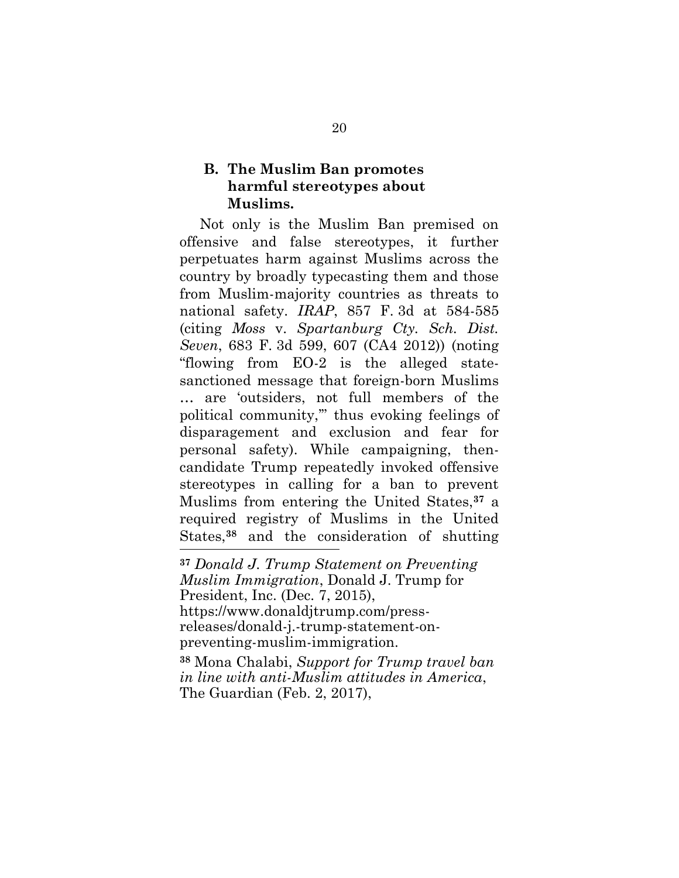## **B. The Muslim Ban promotes harmful stereotypes about Muslims.**

<span id="page-31-0"></span>Not only is the Muslim Ban premised on offensive and false stereotypes, it further perpetuates harm against Muslims across the country by broadly typecasting them and those from Muslim-majority countries as threats to national safety. *IRAP*, 857 F. 3d at 584-585 (citing *Moss* v. *Spartanburg Cty. Sch. Dist. Seven*, 683 F. 3d 599, 607 (CA4 2012)) (noting "flowing from EO-2 is the alleged statesanctioned message that foreign-born Muslims … are 'outsiders, not full members of the political community,'" thus evoking feelings of disparagement and exclusion and fear for personal safety). While campaigning, thencandidate Trump repeatedly invoked offensive stereotypes in calling for a ban to prevent Muslims from entering the United States,**<sup>37</sup>** a required registry of Muslims in the United States,**<sup>38</sup>** and the consideration of shutting l

<span id="page-31-2"></span>**<sup>37</sup>** *Donald J. Trump Statement on Preventing Muslim Immigration*, Donald J. Trump for President, Inc. (Dec. 7, 2015), https://www.donaldjtrump.com/pressreleases/donald-j.-trump-statement-onpreventing-muslim-immigration. **<sup>38</sup>** Mona Chalabi, *Support for Trump travel ban* 

<span id="page-31-1"></span>*in line with anti-Muslim attitudes in America*, The Guardian (Feb. 2, 2017),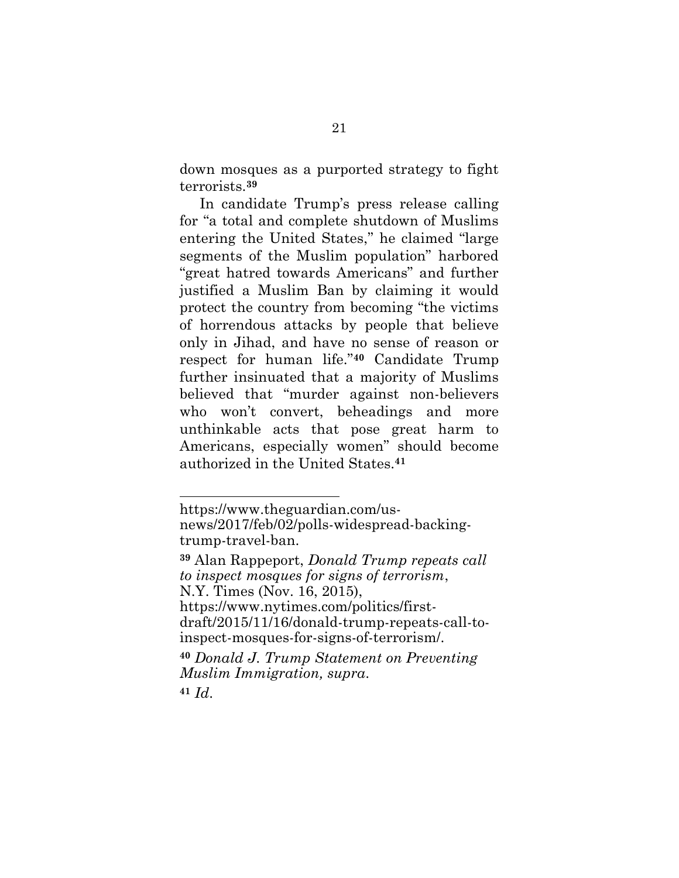down mosques as a purported strategy to fight terrorists.**<sup>39</sup>**

In candidate Trump's press release calling for "a total and complete shutdown of Muslims entering the United States," he claimed "large segments of the Muslim population" harbored "great hatred towards Americans" and further justified a Muslim Ban by claiming it would protect the country from becoming "the victims of horrendous attacks by people that believe only in Jihad, and have no sense of reason or respect for human life."**<sup>40</sup>** Candidate Trump further insinuated that a majority of Muslims believed that "murder against non-believers who won't convert, beheadings and more unthinkable acts that pose great harm to Americans, especially women" should become authorized in the United States. **41**

**<sup>40</sup>** *Donald J. Trump Statement on Preventing Muslim Immigration, supra*.

**<sup>41</sup>** *Id*.

https://www.theguardian.com/usnews/2017/feb/02/polls-widespread-backingtrump-travel-ban.

<span id="page-32-0"></span>**<sup>39</sup>** Alan Rappeport, *Donald Trump repeats call to inspect mosques for signs of terrorism*, N.Y. Times (Nov. 16, 2015), https://www.nytimes.com/politics/firstdraft/2015/11/16/donald-trump-repeats-call-toinspect-mosques-for-signs-of-terrorism/.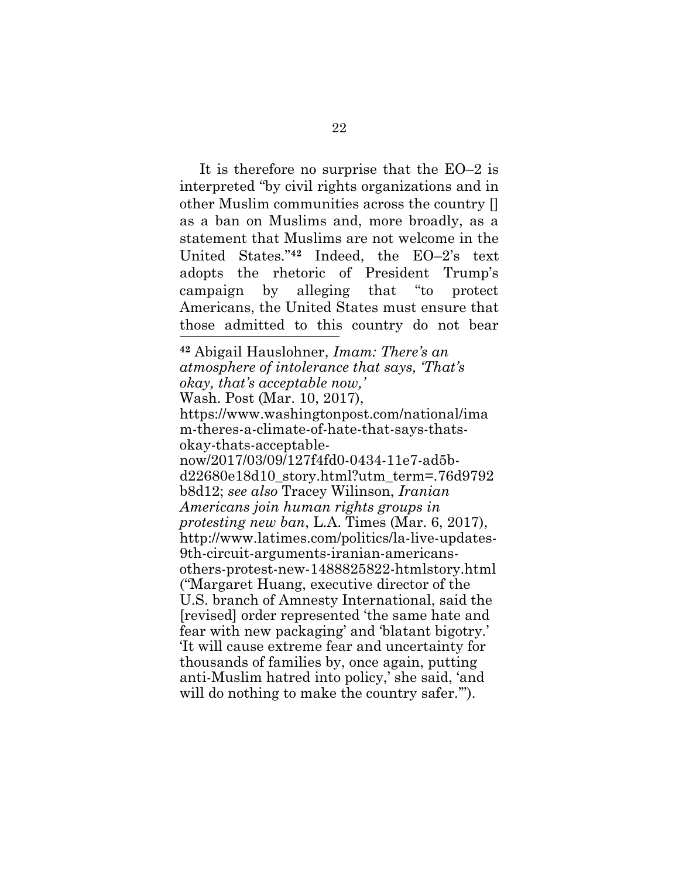It is therefore no surprise that the EO–2 is interpreted "by civil rights organizations and in other Muslim communities across the country [] as a ban on Muslims and, more broadly, as a statement that Muslims are not welcome in the United States."**<sup>42</sup>** Indeed, the EO–2's text adopts the rhetoric of President Trump's campaign by alleging that "to protect Americans, the United States must ensure that those admitted to this country do not bear

<span id="page-33-1"></span><span id="page-33-0"></span>**<sup>42</sup>** Abigail Hauslohner, *Imam: There's an atmosphere of intolerance that says, 'That's okay, that's acceptable now,'* Wash. Post (Mar. 10, 2017), https://www.washingtonpost.com/national/ima m-theres-a-climate-of-hate-that-says-thatsokay-thats-acceptablenow/2017/03/09/127f4fd0-0434-11e7-ad5bd22680e18d10\_story.html?utm\_term=.76d9792 b8d12; *see also* Tracey Wilinson, *Iranian Americans join human rights groups in protesting new ban*, L.A. Times (Mar. 6, 2017), http://www.latimes.com/politics/la-live-updates-9th-circuit-arguments-iranian-americansothers-protest-new-1488825822-htmlstory.html ("Margaret Huang, executive director of the U.S. branch of Amnesty International, said the [revised] order represented 'the same hate and fear with new packaging' and 'blatant bigotry.' 'It will cause extreme fear and uncertainty for thousands of families by, once again, putting anti-Muslim hatred into policy,' she said, 'and will do nothing to make the country safer."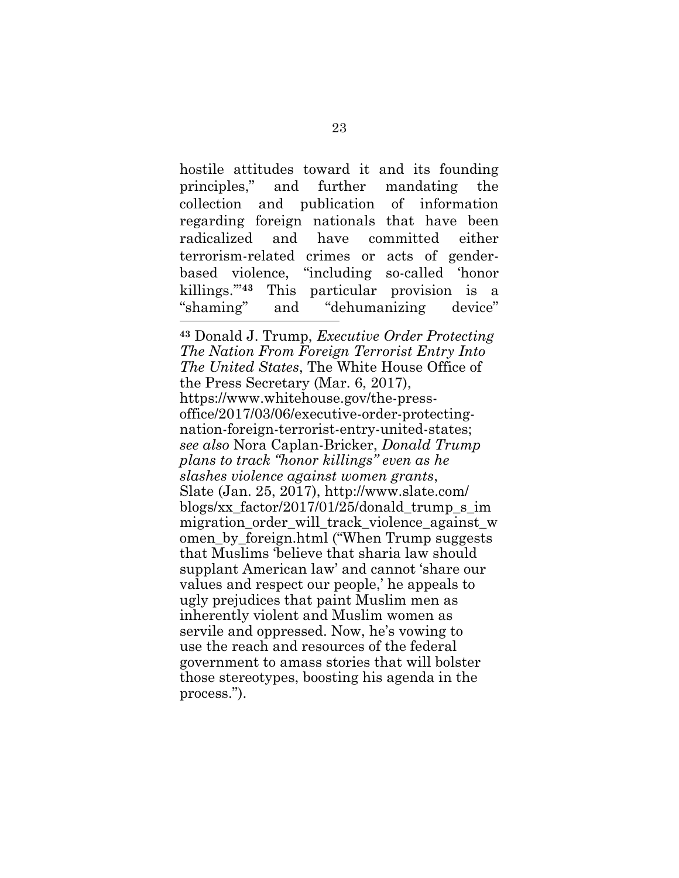hostile attitudes toward it and its founding principles," and further mandating the collection and publication of information regarding foreign nationals that have been radicalized and have committed either terrorism-related crimes or acts of genderbased violence, "including so-called 'honor killings.'"**<sup>43</sup>** This particular provision is a "shaming" and "dehumanizing device" l

<span id="page-34-1"></span><span id="page-34-0"></span>**<sup>43</sup>** Donald J. Trump, *Executive Order Protecting The Nation From Foreign Terrorist Entry Into The United States*, The White House Office of the Press Secretary (Mar. 6, 2017), https://www.whitehouse.gov/the-pressoffice/2017/03/06/executive-order-protectingnation-foreign-terrorist-entry-united-states; *see also* Nora Caplan-Bricker, *Donald Trump plans to track "honor killings" even as he slashes violence against women grants*, Slate (Jan. 25, 2017), http://www.slate.com/ blogs/xx factor/2017/01/25/donald trump  $\sin$ migration order will track violence against w omen\_by\_foreign.html ("When Trump suggests that Muslims 'believe that sharia law should supplant American law' and cannot 'share our values and respect our people,' he appeals to ugly prejudices that paint Muslim men as inherently violent and Muslim women as servile and oppressed. Now, he's vowing to use the reach and resources of the federal government to amass stories that will bolster those stereotypes, boosting his agenda in the process.").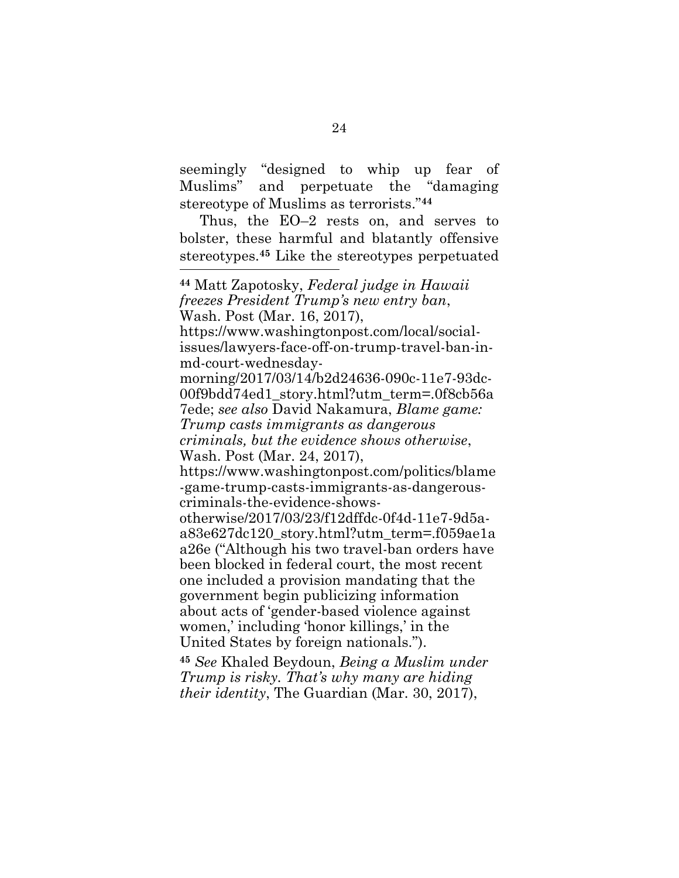seemingly "designed to whip up fear of Muslims" and perpetuate the "damaging stereotype of Muslims as terrorists."**<sup>44</sup>**

Thus, the EO–2 rests on, and serves to bolster, these harmful and blatantly offensive stereotypes.**<sup>45</sup>** Like the stereotypes perpetuated l

<span id="page-35-0"></span>**<sup>45</sup>** *See* Khaled Beydoun, *Being a Muslim under Trump is risky. That's why many are hiding their identity*, The Guardian (Mar. 30, 2017),

<span id="page-35-2"></span><span id="page-35-1"></span>**<sup>44</sup>** Matt Zapotosky, *Federal judge in Hawaii freezes President Trump's new entry ban*, Wash. Post (Mar. 16, 2017), https://www.washingtonpost.com/local/socialissues/lawyers-face-off-on-trump-travel-ban-inmd-court-wednesdaymorning/2017/03/14/b2d24636-090c-11e7-93dc-00f9bdd74ed1\_story.html?utm\_term=.0f8cb56a 7ede; *see also* David Nakamura, *Blame game: Trump casts immigrants as dangerous criminals, but the evidence shows otherwise*, Wash. Post (Mar. 24, 2017), https://www.washingtonpost.com/politics/blame -game-trump-casts-immigrants-as-dangerouscriminals-the-evidence-showsotherwise/2017/03/23/f12dffdc-0f4d-11e7-9d5aa83e627dc120\_story.html?utm\_term=.f059ae1a a26e ("Although his two travel-ban orders have been blocked in federal court, the most recent one included a provision mandating that the government begin publicizing information about acts of 'gender-based violence against women,' including 'honor killings,' in the United States by foreign nationals.").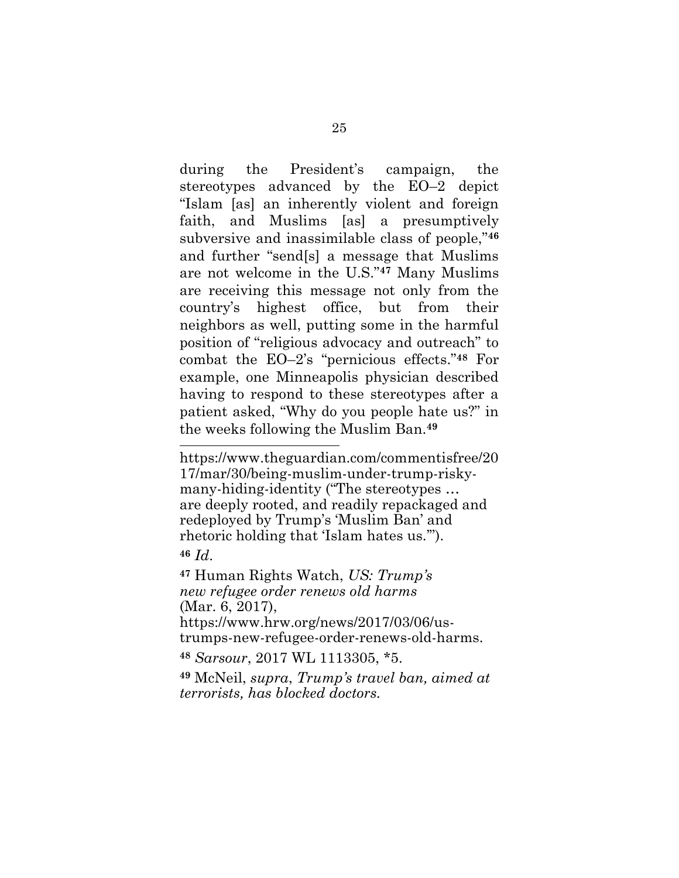during the President's campaign, the stereotypes advanced by the EO–2 depict "Islam [as] an inherently violent and foreign faith, and Muslims [as] a presumptively subversive and inassimilable class of people,"**<sup>46</sup>** and further "send[s] a message that Muslims are not welcome in the U.S."**<sup>47</sup>** Many Muslims are receiving this message not only from the country's highest office, but from their neighbors as well, putting some in the harmful position of "religious advocacy and outreach" to combat the EO–2's "pernicious effects."**<sup>48</sup>** For example, one Minneapolis physician described having to respond to these stereotypes after a patient asked, "Why do you people hate us?" in the weeks following the Muslim Ban.**<sup>49</sup>**

<span id="page-36-2"></span><span id="page-36-1"></span>**<sup>47</sup>** Human Rights Watch, *US: Trump's new refugee order renews old harms* (Mar. 6, 2017), https://www.hrw.org/news/2017/03/06/us-

trumps-new-refugee-order-renews-old-harms.

<span id="page-36-0"></span>**<sup>48</sup>** *Sarsour*, 2017 WL 1113305, \*5.

l

<span id="page-36-3"></span>**<sup>49</sup>** McNeil, *supra*, *Trump's travel ban, aimed at terrorists, has blocked doctors.*

https://www.theguardian.com/commentisfree/20 17/mar/30/being-muslim-under-trump-riskymany-hiding-identity ("The stereotypes … are deeply rooted, and readily repackaged and redeployed by Trump's 'Muslim Ban' and rhetoric holding that 'Islam hates us.'"). **<sup>46</sup>** *Id*.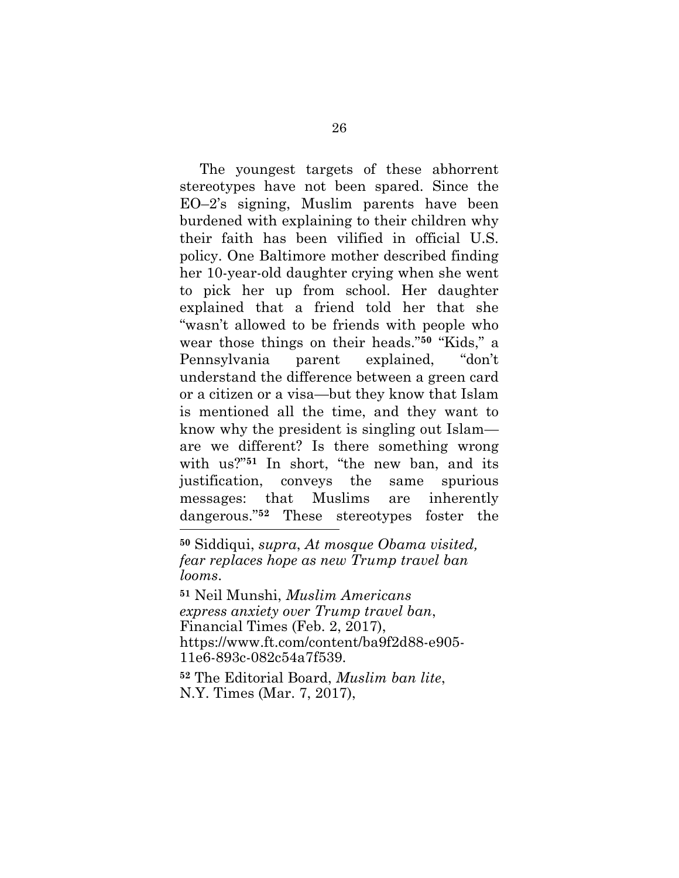The youngest targets of these abhorrent stereotypes have not been spared. Since the EO–2's signing, Muslim parents have been burdened with explaining to their children why their faith has been vilified in official U.S. policy. One Baltimore mother described finding her 10-year-old daughter crying when she went to pick her up from school. Her daughter explained that a friend told her that she "wasn't allowed to be friends with people who wear those things on their heads."**<sup>50</sup>** "Kids," a Pennsylvania parent explained, "don't understand the difference between a green card or a citizen or a visa—but they know that Islam is mentioned all the time, and they want to know why the president is singling out Islam are we different? Is there something wrong with us?"<sup>51</sup> In short, "the new ban, and its justification, conveys the same spurious messages: that Muslims are inherently dangerous."**<sup>52</sup>** These stereotypes foster the l

<span id="page-37-2"></span>**<sup>50</sup>** Siddiqui, *supra*, *At mosque Obama visited, fear replaces hope as new Trump travel ban looms*.

<span id="page-37-0"></span>**<sup>51</sup>** Neil Munshi, *Muslim Americans express anxiety over Trump travel ban*, Financial Times (Feb. 2, 2017), https://www.ft.com/content/ba9f2d88-e905- 11e6-893c-082c54a7f539.

<span id="page-37-1"></span>**<sup>52</sup>** The Editorial Board, *Muslim ban lite*, N.Y. Times (Mar. 7, 2017),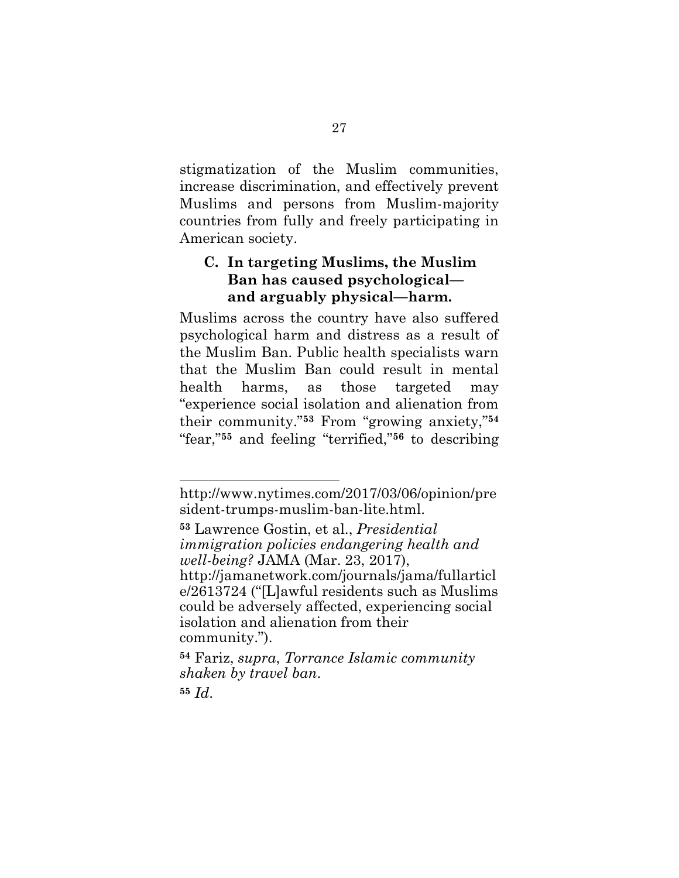stigmatization of the Muslim communities, increase discrimination, and effectively prevent Muslims and persons from Muslim-majority countries from fully and freely participating in American society.

## **C. In targeting Muslims, the Muslim Ban has caused psychological and arguably physical—harm.**

Muslims across the country have also suffered psychological harm and distress as a result of the Muslim Ban. Public health specialists warn that the Muslim Ban could result in mental health harms, as those targeted may "experience social isolation and alienation from their community."**<sup>53</sup>** From "growing anxiety,"**<sup>54</sup>** "fear,"**<sup>55</sup>** and feeling "terrified,"**<sup>56</sup>** to describing

<span id="page-38-1"></span>**<sup>53</sup>** Lawrence Gostin, et al., *Presidential immigration policies endangering health and well-being?* JAMA (Mar. 23, 2017), http://jamanetwork.com/journals/jama/fullarticl e/2613724 ("[L]awful residents such as Muslims could be adversely affected, experiencing social isolation and alienation from their community.").

<span id="page-38-0"></span>**<sup>54</sup>** Fariz, *supra*, *Torrance Islamic community shaken by travel ban*.

**<sup>55</sup>** *Id*.

http://www.nytimes.com/2017/03/06/opinion/pre sident-trumps-muslim-ban-lite.html.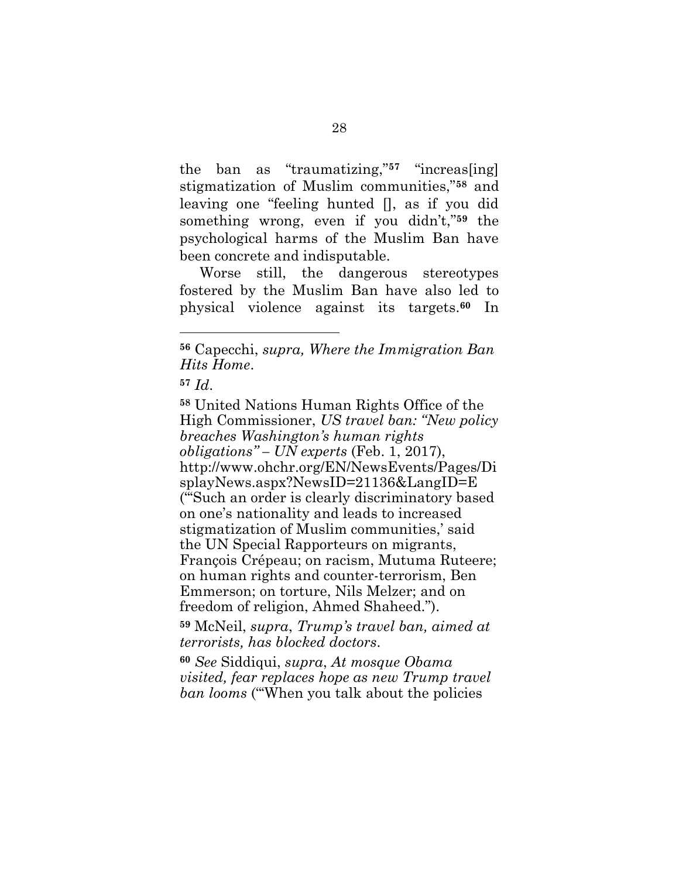the ban as "traumatizing,"**<sup>57</sup>** "increas[ing] stigmatization of Muslim communities,"**<sup>58</sup>** and leaving one "feeling hunted [], as if you did something wrong, even if you didn't,"**<sup>59</sup>** the psychological harms of the Muslim Ban have been concrete and indisputable.

Worse still, the dangerous stereotypes fostered by the Muslim Ban have also led to physical violence against its targets.**<sup>60</sup>** In

**<sup>56</sup>** Capecchi, *supra, Where the Immigration Ban Hits Home*.

<span id="page-39-0"></span>**<sup>57</sup>** *Id*.

<span id="page-39-3"></span>**<sup>58</sup>** United Nations Human Rights Office of the High Commissioner, *US travel ban: "New policy breaches Washington's human rights obligations" – UN experts* (Feb. 1, 2017), http://www.ohchr.org/EN/NewsEvents/Pages/Di splayNews.aspx?NewsID=21136&LangID=E ("'Such an order is clearly discriminatory based on one's nationality and leads to increased stigmatization of Muslim communities,' said the UN Special Rapporteurs on migrants, François Crépeau; on racism, Mutuma Ruteere; on human rights and counter-terrorism, Ben Emmerson; on torture, Nils Melzer; and on freedom of religion, Ahmed Shaheed.").

<span id="page-39-1"></span>**<sup>59</sup>** McNeil, *supra*, *Trump's travel ban, aimed at terrorists, has blocked doctors*.

<span id="page-39-2"></span>**<sup>60</sup>** *See* Siddiqui, *supra*, *At mosque Obama visited, fear replaces hope as new Trump travel ban looms* ("'When you talk about the policies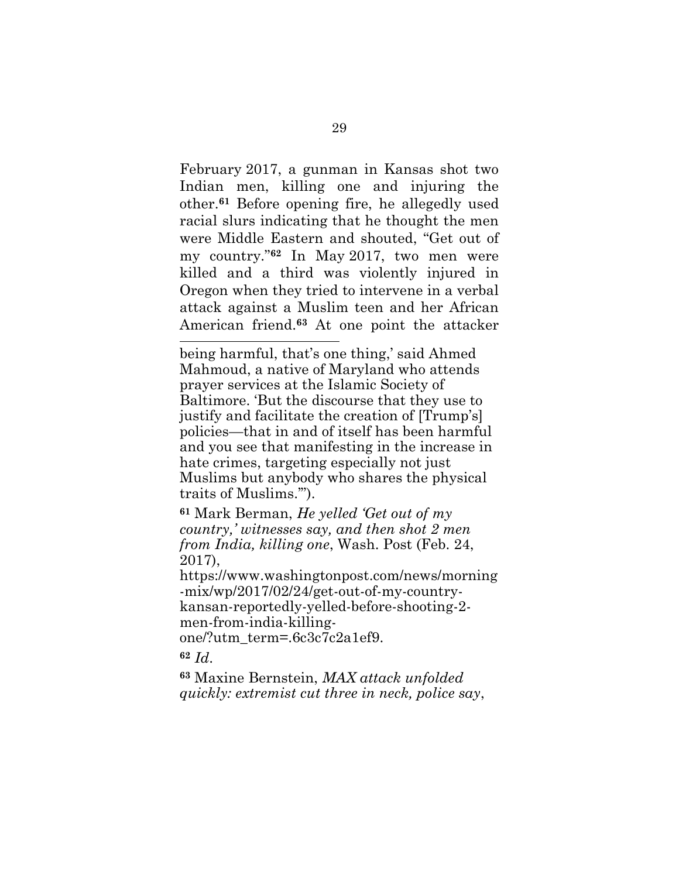February 2017, a gunman in Kansas shot two Indian men, killing one and injuring the other.**<sup>61</sup>** Before opening fire, he allegedly used racial slurs indicating that he thought the men were Middle Eastern and shouted, "Get out of my country."**<sup>62</sup>** In May 2017, two men were killed and a third was violently injured in Oregon when they tried to intervene in a verbal attack against a Muslim teen and her African American friend.**<sup>63</sup>** At one point the attacker

being harmful, that's one thing,' said Ahmed Mahmoud, a native of Maryland who attends prayer services at the Islamic Society of Baltimore. 'But the discourse that they use to justify and facilitate the creation of [Trump's] policies—that in and of itself has been harmful and you see that manifesting in the increase in hate crimes, targeting especially not just Muslims but anybody who shares the physical traits of Muslims.'").

<span id="page-40-0"></span>**<sup>61</sup>** Mark Berman, *He yelled 'Get out of my country,' witnesses say, and then shot 2 men from India, killing one*, Wash. Post (Feb. 24, 2017),

https://www.washingtonpost.com/news/morning -mix/wp/2017/02/24/get-out-of-my-countrykansan-reportedly-yelled-before-shooting-2 men-from-india-killingone/?utm\_term=.6c3c7c2a1ef9.

**<sup>62</sup>** *Id*.

l

<span id="page-40-1"></span>**<sup>63</sup>** Maxine Bernstein, *MAX attack unfolded quickly: extremist cut three in neck, police say*,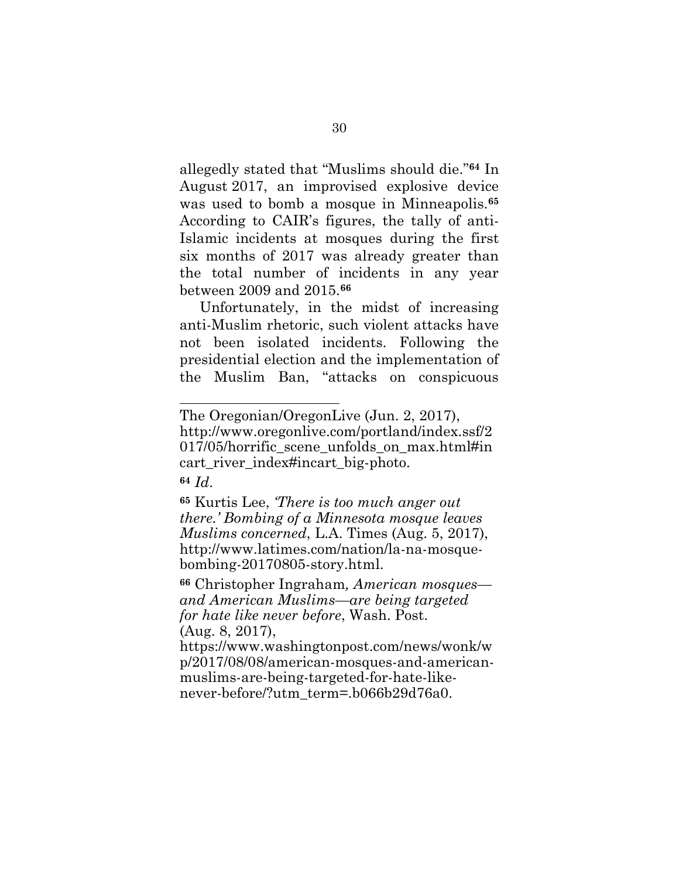allegedly stated that "Muslims should die." **<sup>64</sup>** In August 2017, an improvised explosive device was used to bomb a mosque in Minneapolis.**<sup>65</sup>** According to CAIR's figures, the tally of anti-Islamic incidents at mosques during the first six months of 2017 was already greater than the total number of incidents in any year between 2009 and 2015.**<sup>66</sup>**

Unfortunately, in the midst of increasing anti-Muslim rhetoric, such violent attacks have not been isolated incidents. Following the presidential election and the implementation of the Muslim Ban, "attacks on conspicuous

l

<span id="page-41-2"></span><span id="page-41-0"></span>**<sup>65</sup>** Kurtis Lee, *'There is too much anger out there.' Bombing of a Minnesota mosque leaves Muslims concerned*, L.A. Times (Aug. 5, 2017), http://www.latimes.com/nation/la-na-mosquebombing-20170805-story.html.

<span id="page-41-1"></span>**<sup>66</sup>** Christopher Ingraham*, American mosques and American Muslims—are being targeted for hate like never before*, Wash. Post. (Aug. 8, 2017),

https://www.washingtonpost.com/news/wonk/w p/2017/08/08/american-mosques-and-americanmuslims-are-being-targeted-for-hate-likenever-before/?utm\_term=.b066b29d76a0.

The Oregonian/OregonLive (Jun. 2, 2017), http://www.oregonlive.com/portland/index.ssf/2 017/05/horrific\_scene\_unfolds\_on\_max.html#in cart\_river\_index#incart\_big-photo. **<sup>64</sup>** *Id*.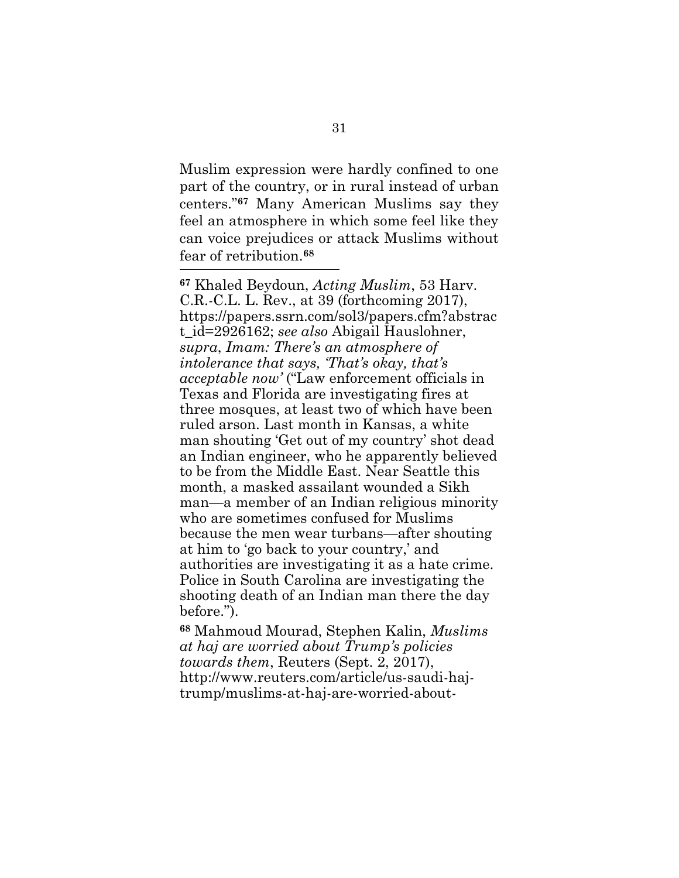Muslim expression were hardly confined to one part of the country, or in rural instead of urban centers."**<sup>67</sup>** Many American Muslims say they feel an atmosphere in which some feel like they can voice prejudices or attack Muslims without fear of retribution.**<sup>68</sup>** l

<span id="page-42-1"></span><span id="page-42-0"></span>**<sup>67</sup>** Khaled Beydoun, *Acting Muslim*, 53 Harv. C.R.-C.L. L. Rev., at 39 (forthcoming 2017), https://papers.ssrn.com/sol3/papers.cfm?abstrac t\_id=2926162; *see also* Abigail Hauslohner, *supra*, *Imam: There's an atmosphere of intolerance that says, 'That's okay, that's acceptable now'* ("Law enforcement officials in Texas and Florida are investigating fires at three mosques, at least two of which have been ruled arson. Last month in Kansas, a white man shouting 'Get out of my country' shot dead an Indian engineer, who he apparently believed to be from the Middle East. Near Seattle this month, a masked assailant wounded a Sikh man—a member of an Indian religious minority who are sometimes confused for Muslims because the men wear turbans—after shouting at him to 'go back to your country,' and authorities are investigating it as a hate crime. Police in South Carolina are investigating the shooting death of an Indian man there the day before.").

<span id="page-42-2"></span>**<sup>68</sup>** Mahmoud Mourad, Stephen Kalin, *Muslims at haj are worried about Trump's policies towards them*, Reuters (Sept. 2, 2017), http://www.reuters.com/article/us-saudi-hajtrump/muslims-at-haj-are-worried-about-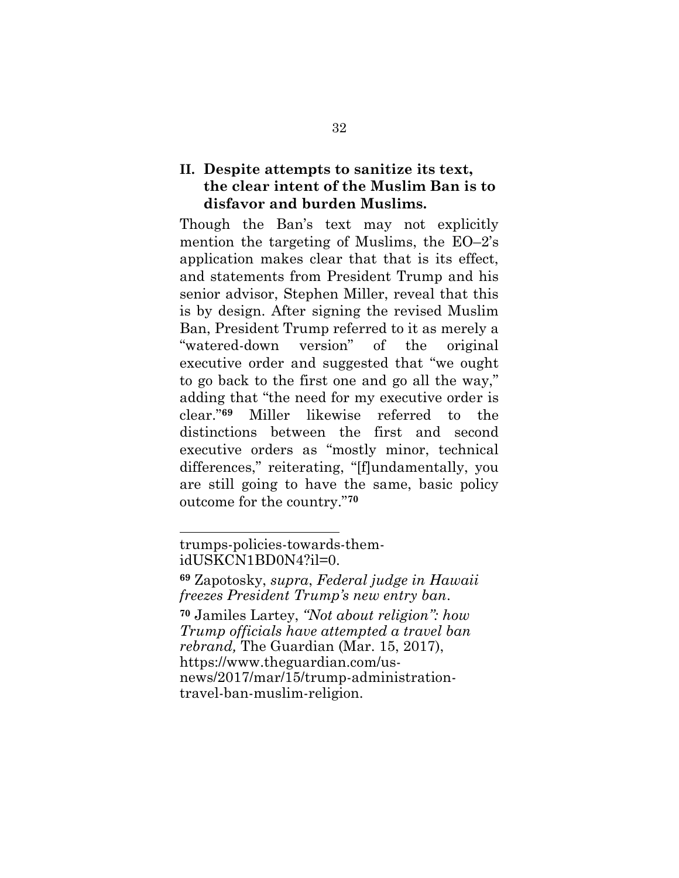### **II. Despite attempts to sanitize its text, the clear intent of the Muslim Ban is to disfavor and burden Muslims.**

Though the Ban's text may not explicitly mention the targeting of Muslims, the EO–2's application makes clear that that is its effect, and statements from President Trump and his senior advisor, Stephen Miller, reveal that this is by design. After signing the revised Muslim Ban, President Trump referred to it as merely a "watered-down version" of the original executive order and suggested that "we ought to go back to the first one and go all the way," adding that "the need for my executive order is clear."**<sup>69</sup>** Miller likewise referred to the distinctions between the first and second executive orders as "mostly minor, technical differences," reiterating, "[f]undamentally, you are still going to have the same, basic policy outcome for the country."**<sup>70</sup>**

trumps-policies-towards-themidUSKCN1BD0N4?il=0.

<span id="page-43-1"></span>**<sup>69</sup>** Zapotosky, *supra*, *Federal judge in Hawaii freezes President Trump's new entry ban*.

<span id="page-43-0"></span>**<sup>70</sup>** Jamiles Lartey, *"Not about religion": how Trump officials have attempted a travel ban rebrand,* The Guardian (Mar. 15, 2017), https://www.theguardian.com/usnews/2017/mar/15/trump-administrationtravel-ban-muslim-religion.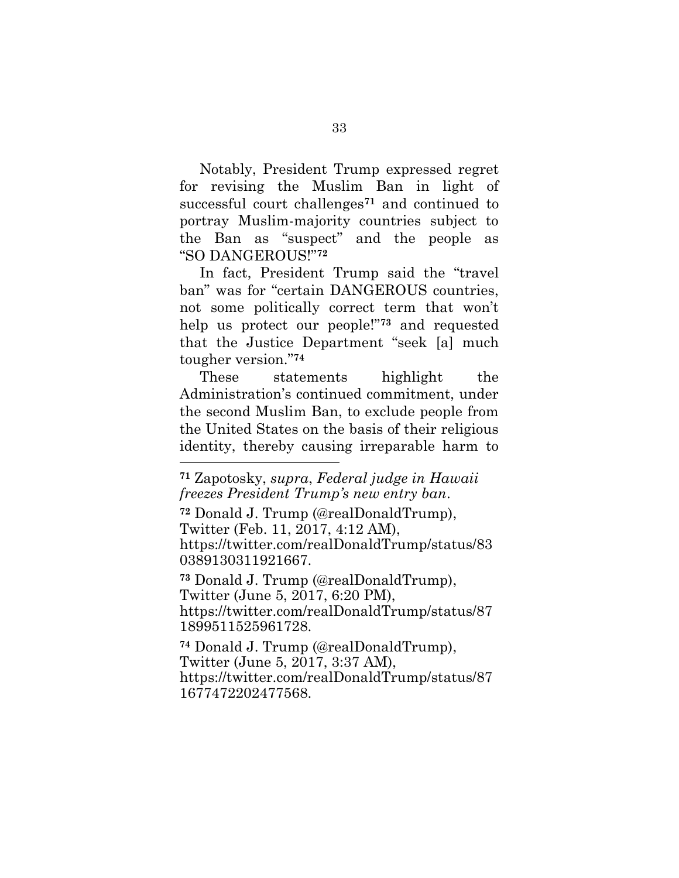Notably, President Trump expressed regret for revising the Muslim Ban in light of successful court challenges**<sup>71</sup>** and continued to portray Muslim-majority countries subject to the Ban as "suspect" and the people as "SO DANGEROUS!"**<sup>72</sup>**

In fact, President Trump said the "travel ban" was for "certain DANGEROUS countries, not some politically correct term that won't help us protect our people!"**<sup>73</sup>** and requested that the Justice Department "seek [a] much tougher version."**<sup>74</sup>**

These statements highlight the Administration's continued commitment, under the second Muslim Ban, to exclude people from the United States on the basis of their religious identity, thereby causing irreparable harm to

<span id="page-44-3"></span>l

<span id="page-44-0"></span>**<sup>72</sup>** Donald J. Trump (@realDonaldTrump), Twitter (Feb. 11, 2017, 4:12 AM), https://twitter.com/realDonaldTrump/status/83 0389130311921667.

<span id="page-44-2"></span>**<sup>73</sup>** Donald J. Trump (@realDonaldTrump), Twitter (June 5, 2017, 6:20 PM), https://twitter.com/realDonaldTrump/status/87 1899511525961728.

<span id="page-44-1"></span>**<sup>74</sup>** Donald J. Trump (@realDonaldTrump), Twitter (June 5, 2017, 3:37 AM), https://twitter.com/realDonaldTrump/status/87 1677472202477568.

**<sup>71</sup>** Zapotosky, *supra*, *Federal judge in Hawaii freezes President Trump's new entry ban*.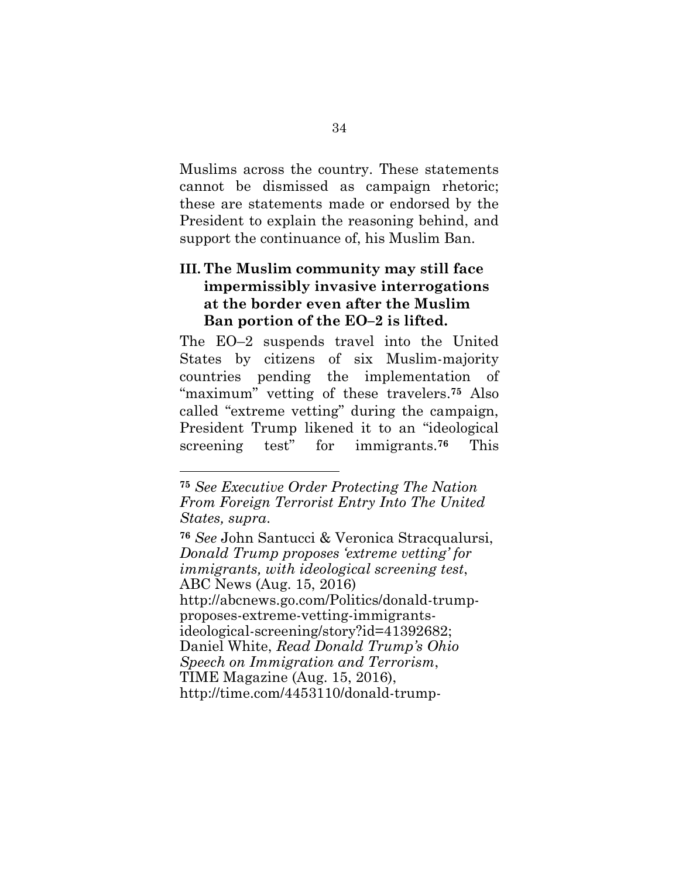Muslims across the country. These statements cannot be dismissed as campaign rhetoric; these are statements made or endorsed by the President to explain the reasoning behind, and support the continuance of, his Muslim Ban.

## **III. The Muslim community may still face impermissibly invasive interrogations at the border even after the Muslim Ban portion of the EO–2 is lifted.**

The EO–2 suspends travel into the United States by citizens of six Muslim-majority countries pending the implementation of "maximum" vetting of these travelers.**<sup>75</sup>** Also called "extreme vetting" during the campaign, President Trump likened it to an "ideological screening test" for immigrants.**<sup>76</sup>** This

l

<span id="page-45-1"></span><span id="page-45-0"></span>**<sup>76</sup>** *See* John Santucci & Veronica Stracqualursi, *Donald Trump proposes 'extreme vetting' for immigrants, with ideological screening test*, ABC News (Aug. 15, 2016) http://abcnews.go.com/Politics/donald-trumpproposes-extreme-vetting-immigrantsideological-screening/story?id=41392682; Daniel White, *Read Donald Trump's Ohio Speech on Immigration and Terrorism*, TIME Magazine (Aug. 15, 2016), http://time.com/4453110/donald-trump-

**<sup>75</sup>** *See Executive Order Protecting The Nation From Foreign Terrorist Entry Into The United States, supra*.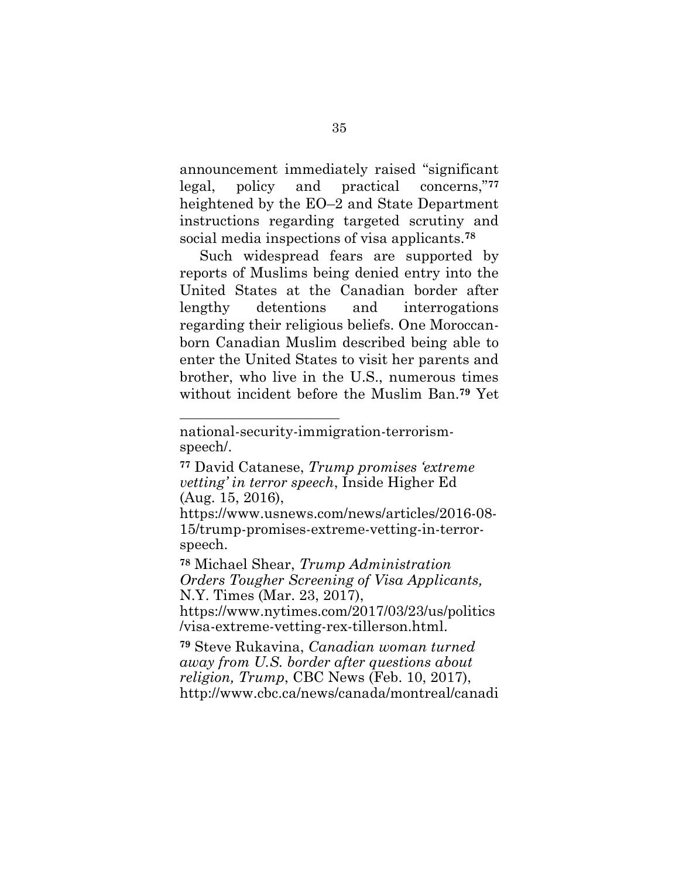announcement immediately raised "significant legal, policy and practical concerns,"**<sup>77</sup>** heightened by the EO–2 and State Department instructions regarding targeted scrutiny and social media inspections of visa applicants.**<sup>78</sup>**

Such widespread fears are supported by reports of Muslims being denied entry into the United States at the Canadian border after lengthy detentions and interrogations regarding their religious beliefs. One Moroccanborn Canadian Muslim described being able to enter the United States to visit her parents and brother, who live in the U.S., numerous times without incident before the Muslim Ban.**<sup>79</sup>** Yet

l

https://www.usnews.com/news/articles/2016-08- 15/trump-promises-extreme-vetting-in-terrorspeech.

<span id="page-46-2"></span>**<sup>78</sup>** Michael Shear, *Trump Administration Orders Tougher Screening of Visa Applicants,* N.Y. Times (Mar. 23, 2017),

https://www.nytimes.com/2017/03/23/us/politics /visa-extreme-vetting-rex-tillerson.html.

<span id="page-46-1"></span>**<sup>79</sup>** Steve Rukavina, *Canadian woman turned away from U.S. border after questions about religion, Trump*, CBC News (Feb. 10, 2017), http://www.cbc.ca/news/canada/montreal/canadi

national-security-immigration-terrorismspeech/.

<span id="page-46-0"></span>**<sup>77</sup>** David Catanese, *Trump promises 'extreme vetting' in terror speech*, Inside Higher Ed (Aug. 15, 2016),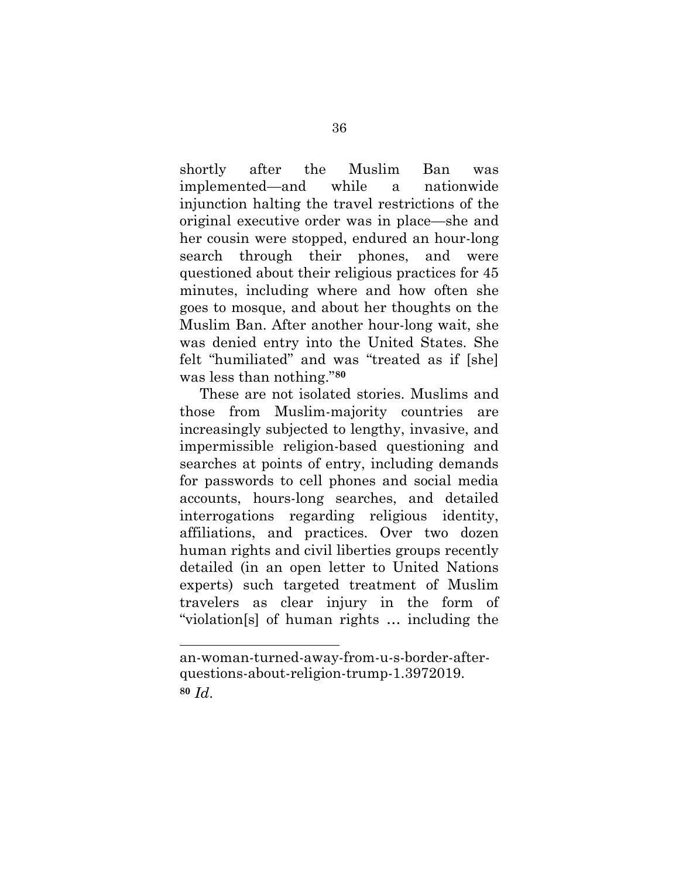shortly after the Muslim Ban was implemented—and while a nationwide injunction halting the travel restrictions of the original executive order was in place—she and her cousin were stopped, endured an hour-long search through their phones, and were questioned about their religious practices for 45 minutes, including where and how often she goes to mosque, and about her thoughts on the Muslim Ban. After another hour-long wait, she was denied entry into the United States. She felt "humiliated" and was "treated as if [she] was less than nothing."**<sup>80</sup>**

These are not isolated stories. Muslims and those from Muslim-majority countries are increasingly subjected to lengthy, invasive, and impermissible religion-based questioning and searches at points of entry, including demands for passwords to cell phones and social media accounts, hours-long searches, and detailed interrogations regarding religious identity, affiliations, and practices. Over two dozen human rights and civil liberties groups recently detailed (in an open letter to United Nations experts) such targeted treatment of Muslim travelers as clear injury in the form of "violation[s] of human rights … including the

<span id="page-47-0"></span>an-woman-turned-away-from-u-s-border-afterquestions-about-religion-trump-1.3972019. **<sup>80</sup>** *Id*.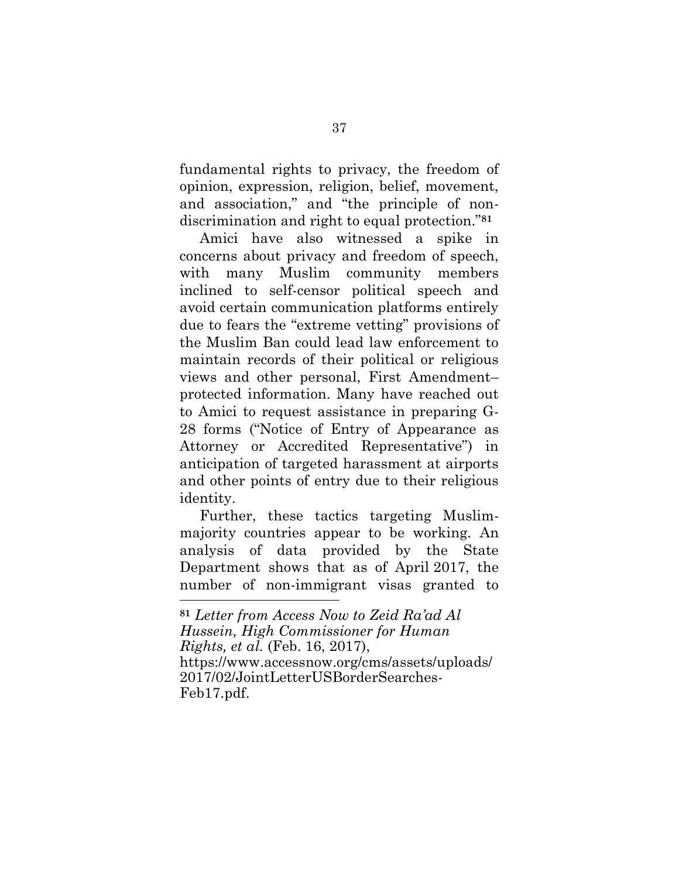fundamental rights to privacy, the freedom of opinion, expression, religion, belief, movement, and association," and "the principle of nondiscrimination and right to equal protection."**<sup>81</sup>**

Amici have also witnessed a spike in concerns about privacy and freedom of speech, with many Muslim community members inclined to self-censor political speech and avoid certain communication platforms entirely due to fears the "extreme vetting" provisions of the Muslim Ban could lead law enforcement to maintain records of their political or religious views and other personal, First Amendment– protected information. Many have reached out to Amici to request assistance in preparing G-28 forms ("Notice of Entry of Appearance as Attorney or Accredited Representative") in anticipation of targeted harassment at airports and other points of entry due to their religious identity.

Further, these tactics targeting Muslimmajority countries appear to be working. An analysis of data provided by the State Department shows that as of April 2017, the number of non-immigrant visas granted to

**<sup>81</sup>** *Letter from Access Now to Zeid Ra'ad Al Hussein, High Commissioner for Human Rights, et al.* (Feb. 16, 2017), https://www.accessnow.org/cms/assets/uploads/ 2017/02/JointLetterUSBorderSearches-Feb17.pdf.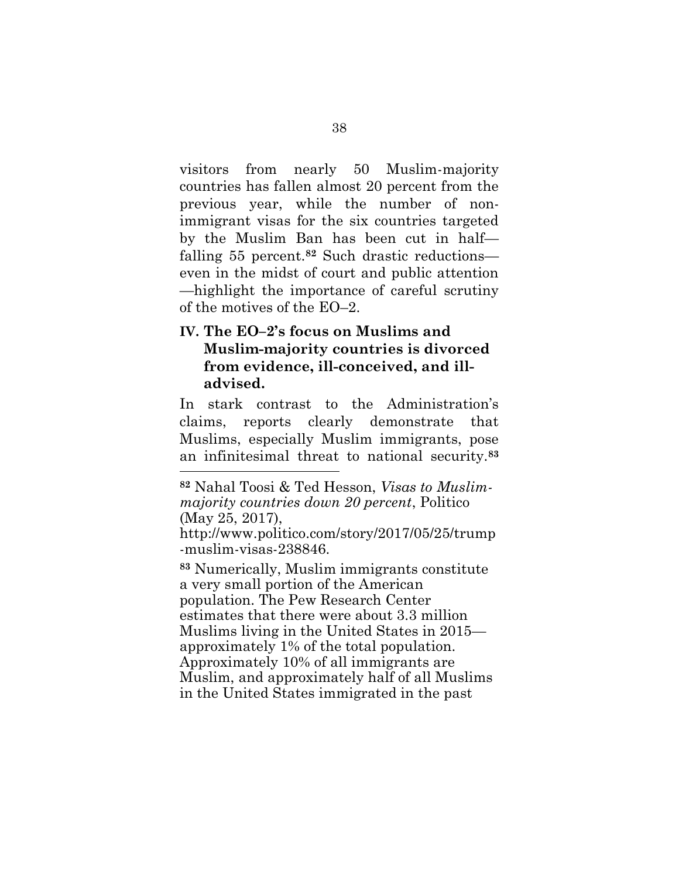visitors from nearly 50 Muslim-majority countries has fallen almost 20 percent from the previous year, while the number of nonimmigrant visas for the six countries targeted by the Muslim Ban has been cut in half falling 55 percent.**<sup>82</sup>** Such drastic reductions even in the midst of court and public attention —highlight the importance of careful scrutiny of the motives of the EO–2.

## **IV. The EO–2's focus on Muslims and Muslim-majority countries is divorced from evidence, ill-conceived, and illadvised.**

In stark contrast to the Administration's claims, reports clearly demonstrate that Muslims, especially Muslim immigrants, pose an infinitesimal threat to national security.**<sup>83</sup>**

<span id="page-49-0"></span>l

**<sup>83</sup>** Numerically, Muslim immigrants constitute a very small portion of the American population. The Pew Research Center estimates that there were about 3.3 million Muslims living in the United States in 2015 approximately 1% of the total population. Approximately 10% of all immigrants are Muslim, and approximately half of all Muslims in the United States immigrated in the past

**<sup>82</sup>** Nahal Toosi & Ted Hesson, *Visas to Muslimmajority countries down 20 percent*, Politico (May 25, 2017),

http://www.politico.com/story/2017/05/25/trump -muslim-visas-238846.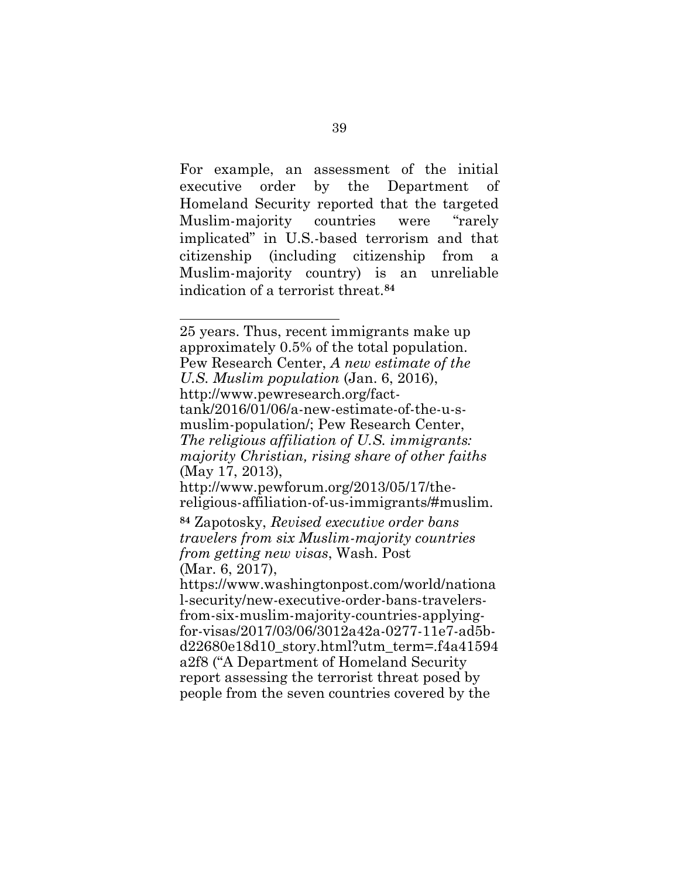For example, an assessment of the initial executive order by the Department of Homeland Security reported that the targeted Muslim-majority countries were "rarely implicated" in U.S.-based terrorism and that citizenship (including citizenship from a Muslim-majority country) is an unreliable indication of a terrorist threat.**<sup>84</sup>**

l

<span id="page-50-2"></span>a2f8 ("A Department of Homeland Security report assessing the terrorist threat posed by people from the seven countries covered by the

<span id="page-50-1"></span><span id="page-50-0"></span><sup>25</sup> years. Thus, recent immigrants make up approximately 0.5% of the total population. Pew Research Center, *A new estimate of the U.S. Muslim population* (Jan. 6, 2016), http://www.pewresearch.org/facttank/2016/01/06/a-new-estimate-of-the-u-smuslim-population/; Pew Research Center, *The religious affiliation of U.S. immigrants: majority Christian, rising share of other faiths* (May 17, 2013), http://www.pewforum.org/2013/05/17/thereligious-affiliation-of-us-immigrants/#muslim. **<sup>84</sup>** Zapotosky, *Revised executive order bans travelers from six Muslim-majority countries from getting new visas*, Wash. Post (Mar. 6, 2017), https://www.washingtonpost.com/world/nationa l-security/new-executive-order-bans-travelersfrom-six-muslim-majority-countries-applyingfor-visas/2017/03/06/3012a42a-0277-11e7-ad5bd22680e18d10\_story.html?utm\_term=.f4a41594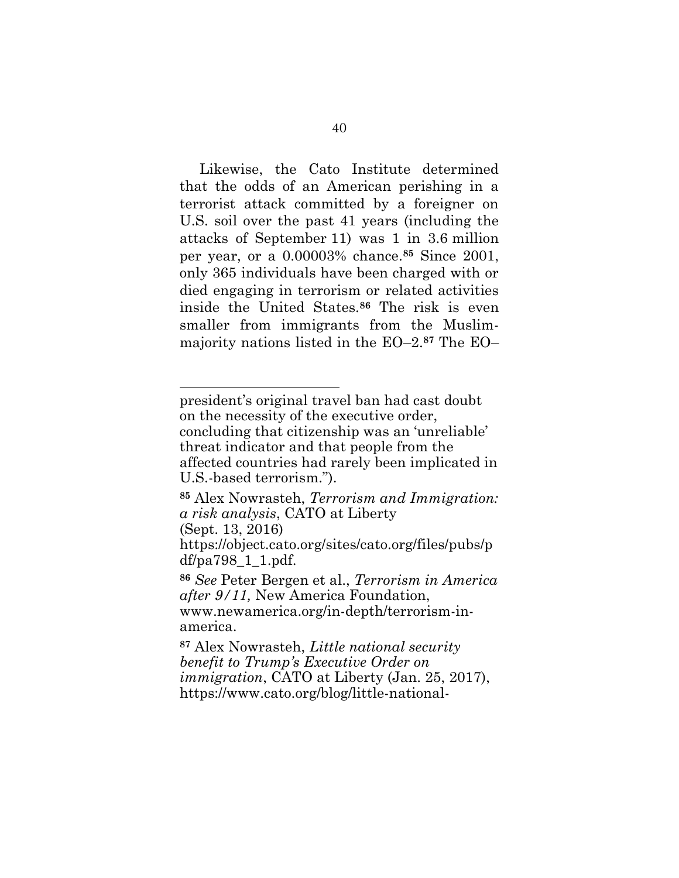Likewise, the Cato Institute determined that the odds of an American perishing in a terrorist attack committed by a foreigner on U.S. soil over the past 41 years (including the attacks of September 11) was 1 in 3.6 million per year, or a 0.00003% chance.**<sup>85</sup>** Since 2001, only 365 individuals have been charged with or died engaging in terrorism or related activities inside the United States.**<sup>86</sup>** The risk is even smaller from immigrants from the Muslimmajority nations listed in the EO–2. **<sup>87</sup>** The EO–

(Sept. 13, 2016)

president's original travel ban had cast doubt on the necessity of the executive order, concluding that citizenship was an 'unreliable' threat indicator and that people from the affected countries had rarely been implicated in U.S.-based terrorism.").

<span id="page-51-2"></span>**<sup>85</sup>** Alex Nowrasteh, *Terrorism and Immigration: a risk analysis*, CATO at Liberty

https://object.cato.org/sites/cato.org/files/pubs/p df/pa798\_1\_1.pdf.

<span id="page-51-0"></span>**<sup>86</sup>** *See* Peter Bergen et al., *Terrorism in America after 9/11,* New America Foundation, www.newamerica.org/in-depth/terrorism-inamerica.

<span id="page-51-1"></span>**<sup>87</sup>** Alex Nowrasteh, *Little national security benefit to Trump's Executive Order on immigration*, CATO at Liberty (Jan. 25, 2017), https://www.cato.org/blog/little-national-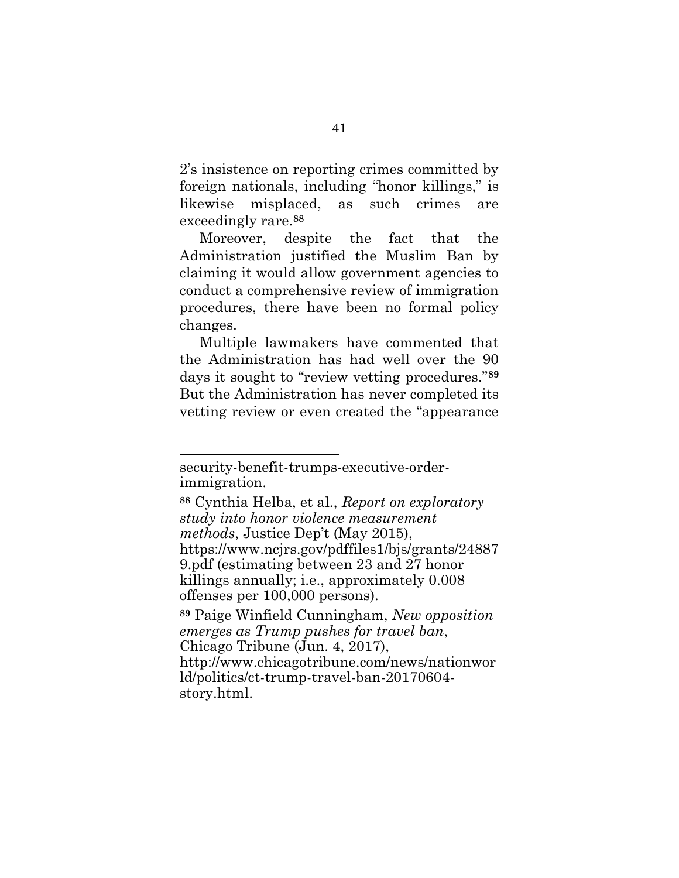2's insistence on reporting crimes committed by foreign nationals, including "honor killings," is likewise misplaced, as such crimes are exceedingly rare.**<sup>88</sup>**

Moreover, despite the fact that the Administration justified the Muslim Ban by claiming it would allow government agencies to conduct a comprehensive review of immigration procedures, there have been no formal policy changes.

Multiple lawmakers have commented that the Administration has had well over the 90 days it sought to "review vetting procedures."**<sup>89</sup>** But the Administration has never completed its vetting review or even created the "appearance

security-benefit-trumps-executive-orderimmigration.

<span id="page-52-1"></span>**<sup>88</sup>** Cynthia Helba, et al., *Report on exploratory study into honor violence measurement methods*, Justice Dep't (May 2015), https://www.ncjrs.gov/pdffiles1/bjs/grants/24887 9.pdf (estimating between 23 and 27 honor killings annually; i.e., approximately 0.008 offenses per 100,000 persons).

<span id="page-52-0"></span>**<sup>89</sup>** Paige Winfield Cunningham, *New opposition emerges as Trump pushes for travel ban*, Chicago Tribune (Jun. 4, 2017), http://www.chicagotribune.com/news/nationwor ld/politics/ct-trump-travel-ban-20170604 story.html.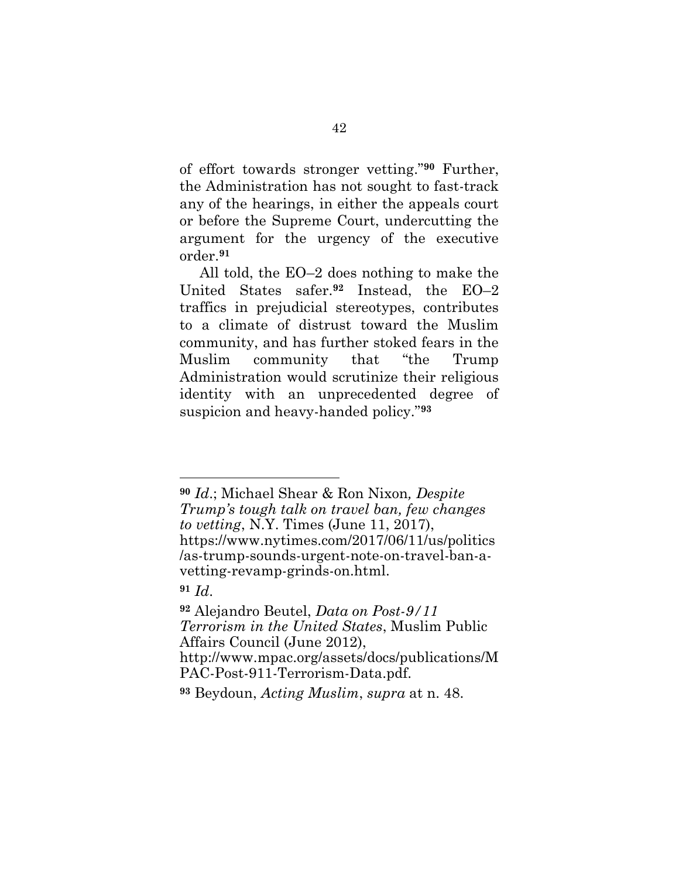of effort towards stronger vetting." **<sup>90</sup>** Further, the Administration has not sought to fast-track any of the hearings, in either the appeals court or before the Supreme Court, undercutting the argument for the urgency of the executive order.**<sup>91</sup>**

All told, the EO–2 does nothing to make the United States safer.**<sup>92</sup>** Instead, the EO–2 traffics in prejudicial stereotypes, contributes to a climate of distrust toward the Muslim community, and has further stoked fears in the Muslim community that "the Trump Administration would scrutinize their religious identity with an unprecedented degree of suspicion and heavy-handed policy."**<sup>93</sup>**

l

PAC-Post-911-Terrorism-Data.pdf.

<span id="page-53-1"></span>**<sup>93</sup>** Beydoun, *Acting Muslim*, *supra* at n. 48.

**<sup>90</sup>** *Id*.; Michael Shear & Ron Nixon*, Despite Trump's tough talk on travel ban, few changes to vetting*, N.Y. Times (June 11, 2017), https://www.nytimes.com/2017/06/11/us/politics /as-trump-sounds-urgent-note-on-travel-ban-avetting-revamp-grinds-on.html.

<span id="page-53-2"></span>**<sup>91</sup>** *Id*.

<span id="page-53-0"></span>**<sup>92</sup>** Alejandro Beutel, *Data on Post-9/11 Terrorism in the United States*, Muslim Public Affairs Council (June 2012), http://www.mpac.org/assets/docs/publications/M